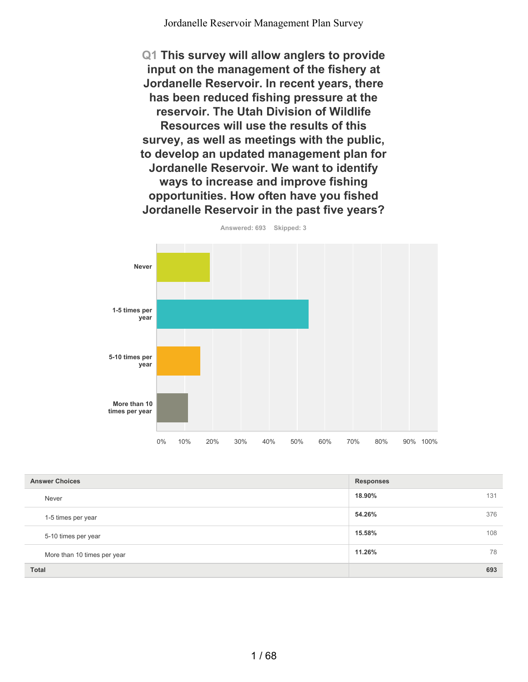**Q1 This survey will allow anglers to provide input on the management of the fishery at Jordanelle Reservoir. In recent years, there has been reduced fishing pressure at the reservoir. The Utah Division of Wildlife Resources will use the results of this survey, as well as meetings with the public, to develop an updated management plan for Jordanelle Reservoir. We want to identify ways to increase and improve fishing opportunities. How often have you fished Jordanelle Reservoir in the past five years?**



**Answered: 693 Skipped: 3**

| <b>Answer Choices</b>       | <b>Responses</b> |
|-----------------------------|------------------|
| Never                       | 18.90%<br>131    |
| 1-5 times per year          | 376<br>54.26%    |
| 5-10 times per year         | 108<br>15.58%    |
| More than 10 times per year | 11.26%<br>78     |
| <b>Total</b>                | 693              |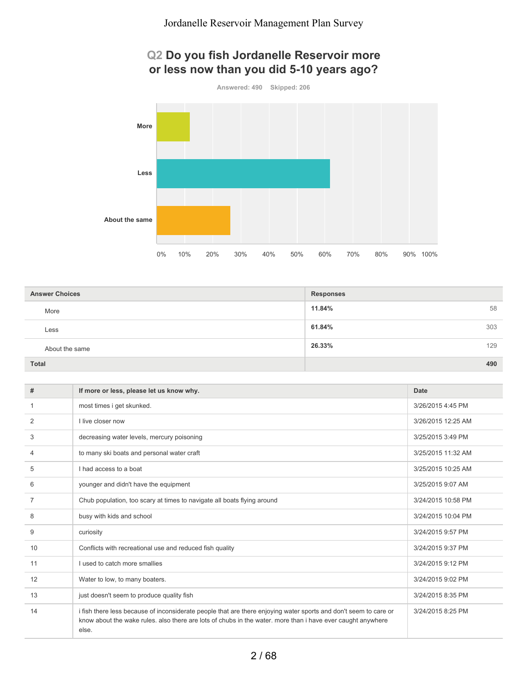### **Q2 Do you fish Jordanelle Reservoir more or less now than you did 5-10 years ago?**



**About the same**

| <b>Answer Choices</b> | <b>Responses</b> |     |
|-----------------------|------------------|-----|
| More                  | 11.84%           | 58  |
| Less                  | 61.84%           | 303 |
| About the same        | 26.33%           | 129 |
| <b>Total</b>          |                  | 490 |

0% 10% 20% 30% 40% 50% 60% 70% 80% 90% 100%

| #  | If more or less, please let us know why.                                                                                                                                                                                                 | Date               |
|----|------------------------------------------------------------------------------------------------------------------------------------------------------------------------------------------------------------------------------------------|--------------------|
| 1  | most times i get skunked.                                                                                                                                                                                                                | 3/26/2015 4:45 PM  |
| 2  | I live closer now                                                                                                                                                                                                                        | 3/26/2015 12:25 AM |
| 3  | decreasing water levels, mercury poisoning                                                                                                                                                                                               | 3/25/2015 3:49 PM  |
| 4  | to many ski boats and personal water craft                                                                                                                                                                                               | 3/25/2015 11:32 AM |
| 5  | I had access to a boat                                                                                                                                                                                                                   | 3/25/2015 10:25 AM |
| 6  | younger and didn't have the equipment                                                                                                                                                                                                    | 3/25/2015 9:07 AM  |
| 7  | Chub population, too scary at times to navigate all boats flying around                                                                                                                                                                  | 3/24/2015 10:58 PM |
| 8  | busy with kids and school                                                                                                                                                                                                                | 3/24/2015 10:04 PM |
| 9  | curiosity                                                                                                                                                                                                                                | 3/24/2015 9:57 PM  |
| 10 | Conflicts with recreational use and reduced fish quality                                                                                                                                                                                 | 3/24/2015 9:37 PM  |
| 11 | I used to catch more smallies                                                                                                                                                                                                            | 3/24/2015 9:12 PM  |
| 12 | Water to low, to many boaters.                                                                                                                                                                                                           | 3/24/2015 9:02 PM  |
| 13 | just doesn't seem to produce quality fish                                                                                                                                                                                                | 3/24/2015 8:35 PM  |
| 14 | i fish there less because of inconsiderate people that are there enjoying water sports and don't seem to care or<br>know about the wake rules, also there are lots of chubs in the water, more than i have ever caught anywhere<br>else. | 3/24/2015 8:25 PM  |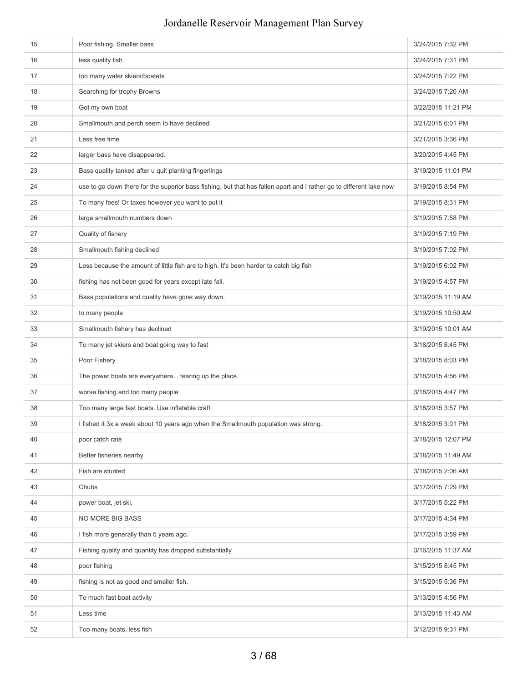### 15 Poor fishing. Smaller bass 3/24/2015 7:32 PM 16 less quality fish 3/24/2015 7:31 PM 17 too many water skiers/boatets 3/24/2015 7:22 PM 18 Searching for trophy Browns 3/24/2015 7:20 AM 19 Got my own boat George Communication of the Communication of the Communication of the Communication of the Communication of the Communication of the Communication of the Communication of the Communication of the Communi 20 Smallmouth and perch seem to have declined 3/21/2015 6:01 PM 21 Less free time 3/21/2015 3:36 PM **22** larger bass have disappeared. **3/20/2015 4:45 PM** and  $\overline{3}$  3/20/2015 4:45 PM 23 Bass quality tanked after u quit planting fingerlings 3/19/2015 11:01 PM 24 use to go down there for the superior bass fishing. but that has fallen apart and I rather go to different lake now 3/19/2015 8:54 PM 25 To many fees! Or taxes however you want to put it 3/19/2015 8:31 PM 26 large smallmouth numbers down 3/19/2015 7:58 PM 27 Quality of fishery 3/19/2015 7:19 PM 28 Smallmouth fishing declined 3/19/2015 7:02 PM 29 Less because the amount of little fish are to high. It's been harder to catch big fish 3/19/2015 6:02 PM 30 fishing has not been good for years except late fall. 3/19/2015 4:57 PM 31 Bass populations and quality have gone way down. 3/19/2015 11:19 AM 32 to many people 3/19/2015 10:50 AM 33 Smallmouth fishery has declined 3/19/2015 10:01 AM Smallmouth fishery has declined 30 and 30 and 30 and 30 and 30 and 30 and 30 and 30 and 30 and 30 and 30 and 30 and 30 and 30 and 30 and 30 and 30 and 30 and 30 and 30 34 To many jet skiers and boat going way to fast 3/18/2015 8:45 PM 35 Poor Fishery 3/18/2015 8:03 PM 36 The power boats are everywhere... tearing up the place. 3/18/2015 4:56 PM 37 worse fishing and too many people 3/18/2015 4:47 PM 38 Too many large fast boats. Use inflatable craft 3/18/2015 3:57 PM 39 I fished it 3x a week about 10 years ago when the Smallmouth population was strong. 30 and 3/18/2015 3:01 PM 40 poor catch rate 3/18/2015 12:07 PM 41 Better fisheries nearby **3/18/2015 11:49 AM** 42 Fish are stunted 3/18/2015 2:06 AM 43 Chubs 3/17/2015 7:29 PM 44 power boat, jet ski, 3/17/2015 5:22 PM 45 NO MORE BIG BASS 3/17/2015 4:34 PM 1 fish more generally than 5 years ago. 3/17/2015 3:59 PM 47 Fishing quality and quantity has dropped substantially 3/16/2015 11:37 AM 48 poor fishing poor fishing and the set of the set of the set of the set of the set of the set of the set of the set of the set of the set of the set of the set of the set of the set of the set of the set of the set of th 49 fishing is not as good and smaller fish. 3/15/2015 5:36 PM 50 To much fast boat activity 3/13/2015 4:56 PM 51 Less time 3/13/2015 11:43 AM 52 Too many boats, less fish 3/12/2015 9:31 PM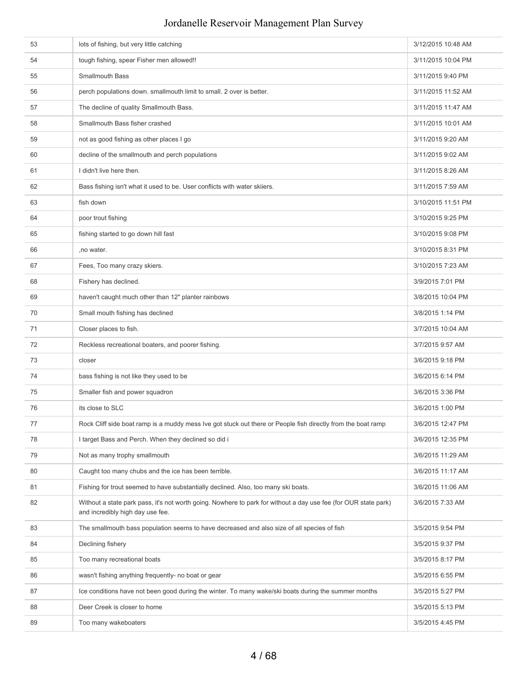| 53 | lots of fishing, but very little catching                                                                                                           | 3/12/2015 10:48 AM |
|----|-----------------------------------------------------------------------------------------------------------------------------------------------------|--------------------|
| 54 | tough fishing, spear Fisher men allowed!!                                                                                                           | 3/11/2015 10:04 PM |
| 55 | Smallmouth Bass                                                                                                                                     | 3/11/2015 9:40 PM  |
| 56 | perch populations down. smallmouth limit to small. 2 over is better.                                                                                | 3/11/2015 11:52 AM |
| 57 | The decline of quality Smallmouth Bass.                                                                                                             | 3/11/2015 11:47 AM |
| 58 | Smallmouth Bass fisher crashed                                                                                                                      | 3/11/2015 10:01 AM |
| 59 | not as good fishing as other places I go                                                                                                            | 3/11/2015 9:20 AM  |
| 60 | decline of the smallmouth and perch populations                                                                                                     | 3/11/2015 9:02 AM  |
| 61 | I didn't live here then.                                                                                                                            | 3/11/2015 8:26 AM  |
| 62 | Bass fishing isn't what it used to be. User conflicts with water skiiers.                                                                           | 3/11/2015 7:59 AM  |
| 63 | fish down                                                                                                                                           | 3/10/2015 11:51 PM |
| 64 | poor trout fishing                                                                                                                                  | 3/10/2015 9:25 PM  |
| 65 | fishing started to go down hill fast                                                                                                                | 3/10/2015 9:08 PM  |
| 66 | , no water.                                                                                                                                         | 3/10/2015 8:31 PM  |
| 67 | Fees, Too many crazy skiers.                                                                                                                        | 3/10/2015 7:23 AM  |
| 68 | Fishery has declined.                                                                                                                               | 3/9/2015 7:01 PM   |
| 69 | haven't caught much other than 12" planter rainbows                                                                                                 | 3/8/2015 10:04 PM  |
| 70 | Small mouth fishing has declined                                                                                                                    | 3/8/2015 1:14 PM   |
| 71 | Closer places to fish.                                                                                                                              | 3/7/2015 10:04 AM  |
| 72 | Reckless recreational boaters, and poorer fishing.                                                                                                  | 3/7/2015 9:57 AM   |
| 73 | closer                                                                                                                                              | 3/6/2015 9:18 PM   |
| 74 | bass fishing is not like they used to be                                                                                                            | 3/6/2015 6:14 PM   |
| 75 | Smaller fish and power squadron                                                                                                                     | 3/6/2015 3:36 PM   |
| 76 | its close to SLC                                                                                                                                    | 3/6/2015 1:00 PM   |
| 77 | Rock Cliff side boat ramp is a muddy mess Ive got stuck out there or People fish directly from the boat ramp                                        | 3/6/2015 12:47 PM  |
| 78 | I target Bass and Perch. When they declined so did i                                                                                                | 3/6/2015 12:35 PM  |
| 79 | Not as many trophy smallmouth                                                                                                                       | 3/6/2015 11:29 AM  |
| 80 | Caught too many chubs and the ice has been terrible.                                                                                                | 3/6/2015 11:17 AM  |
| 81 | Fishing for trout seemed to have substantially declined. Also, too many ski boats.                                                                  | 3/6/2015 11:06 AM  |
| 82 | Without a state park pass, it's not worth going. Nowhere to park for without a day use fee (for OUR state park)<br>and incredibly high day use fee. | 3/6/2015 7:33 AM   |
| 83 | The smallmouth bass population seems to have decreased and also size of all species of fish                                                         | 3/5/2015 9:54 PM   |
| 84 | Declining fishery                                                                                                                                   | 3/5/2015 9:37 PM   |
| 85 | Too many recreational boats                                                                                                                         | 3/5/2015 8:17 PM   |
| 86 | wasn't fishing anything frequently- no boat or gear                                                                                                 | 3/5/2015 6:55 PM   |
| 87 | Ice conditions have not been good during the winter. To many wake/ski boats during the summer months                                                | 3/5/2015 5:27 PM   |
| 88 | Deer Creek is closer to home                                                                                                                        | 3/5/2015 5:13 PM   |
| 89 | Too many wakeboaters                                                                                                                                | 3/5/2015 4:45 PM   |
|    |                                                                                                                                                     |                    |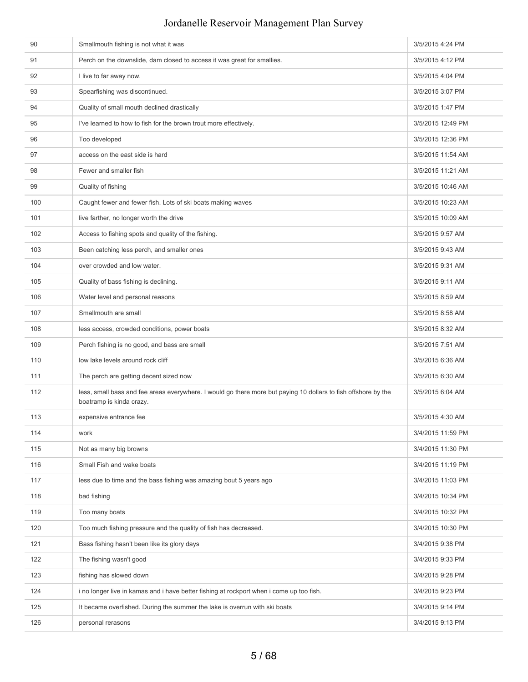| 90  | Smallmouth fishing is not what it was                                                                                                      | 3/5/2015 4:24 PM  |
|-----|--------------------------------------------------------------------------------------------------------------------------------------------|-------------------|
| 91  | Perch on the downslide, dam closed to access it was great for smallies.                                                                    | 3/5/2015 4:12 PM  |
| 92  | I live to far away now.                                                                                                                    | 3/5/2015 4:04 PM  |
| 93  | Spearfishing was discontinued.                                                                                                             | 3/5/2015 3:07 PM  |
| 94  | Quality of small mouth declined drastically                                                                                                | 3/5/2015 1:47 PM  |
| 95  | I've learned to how to fish for the brown trout more effectively.                                                                          | 3/5/2015 12:49 PM |
| 96  | Too developed                                                                                                                              | 3/5/2015 12:36 PM |
| 97  | access on the east side is hard                                                                                                            | 3/5/2015 11:54 AM |
| 98  | Fewer and smaller fish                                                                                                                     | 3/5/2015 11:21 AM |
| 99  | Quality of fishing                                                                                                                         | 3/5/2015 10:46 AM |
| 100 | Caught fewer and fewer fish. Lots of ski boats making waves                                                                                | 3/5/2015 10:23 AM |
| 101 | live farther, no longer worth the drive                                                                                                    | 3/5/2015 10:09 AM |
| 102 | Access to fishing spots and quality of the fishing.                                                                                        | 3/5/2015 9:57 AM  |
| 103 | Been catching less perch, and smaller ones                                                                                                 | 3/5/2015 9:43 AM  |
| 104 | over crowded and low water.                                                                                                                | 3/5/2015 9:31 AM  |
| 105 | Quality of bass fishing is declining.                                                                                                      | 3/5/2015 9:11 AM  |
| 106 | Water level and personal reasons                                                                                                           | 3/5/2015 8:59 AM  |
| 107 | Smallmouth are small                                                                                                                       | 3/5/2015 8:58 AM  |
| 108 | less access, crowded conditions, power boats                                                                                               | 3/5/2015 8:32 AM  |
| 109 | Perch fishing is no good, and bass are small                                                                                               | 3/5/2015 7:51 AM  |
| 110 | low lake levels around rock cliff                                                                                                          | 3/5/2015 6:36 AM  |
| 111 | The perch are getting decent sized now                                                                                                     | 3/5/2015 6:30 AM  |
| 112 | less, small bass and fee areas everywhere. I would go there more but paying 10 dollars to fish offshore by the<br>boatramp is kinda crazy. | 3/5/2015 6:04 AM  |
| 113 | expensive entrance fee                                                                                                                     | 3/5/2015 4:30 AM  |
| 114 | work                                                                                                                                       | 3/4/2015 11:59 PM |
| 115 | Not as many big browns                                                                                                                     | 3/4/2015 11:30 PM |
| 116 | Small Fish and wake boats                                                                                                                  | 3/4/2015 11:19 PM |
| 117 | less due to time and the bass fishing was amazing bout 5 years ago                                                                         | 3/4/2015 11:03 PM |
| 118 | bad fishing                                                                                                                                | 3/4/2015 10:34 PM |
| 119 | Too many boats                                                                                                                             | 3/4/2015 10:32 PM |
| 120 | Too much fishing pressure and the quality of fish has decreased.                                                                           | 3/4/2015 10:30 PM |
| 121 | Bass fishing hasn't been like its glory days                                                                                               | 3/4/2015 9:38 PM  |
| 122 | The fishing wasn't good                                                                                                                    | 3/4/2015 9:33 PM  |
| 123 | fishing has slowed down                                                                                                                    | 3/4/2015 9:28 PM  |
| 124 | i no longer live in kamas and i have better fishing at rockport when i come up too fish.                                                   | 3/4/2015 9:23 PM  |
| 125 | It became overfished. During the summer the lake is overrun with ski boats                                                                 | 3/4/2015 9:14 PM  |
| 126 | personal rerasons                                                                                                                          | 3/4/2015 9:13 PM  |
|     |                                                                                                                                            |                   |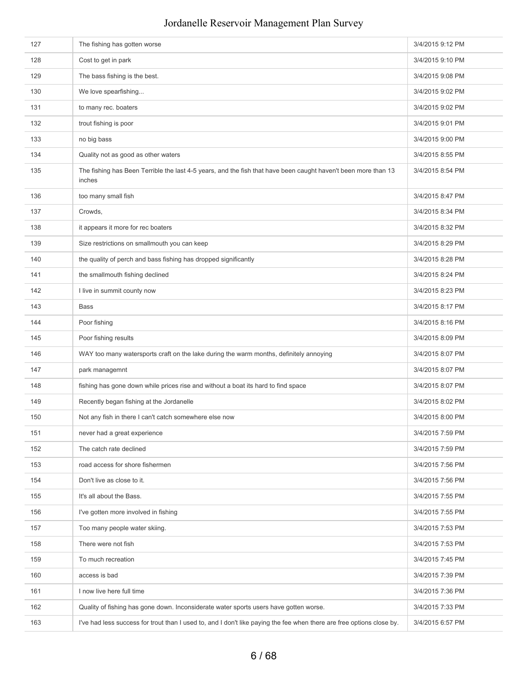| 127 | The fishing has gotten worse                                                                                             | 3/4/2015 9:12 PM |
|-----|--------------------------------------------------------------------------------------------------------------------------|------------------|
| 128 | Cost to get in park                                                                                                      | 3/4/2015 9:10 PM |
| 129 | The bass fishing is the best.                                                                                            | 3/4/2015 9:08 PM |
| 130 | We love spearfishing                                                                                                     | 3/4/2015 9:02 PM |
| 131 | to many rec. boaters                                                                                                     | 3/4/2015 9:02 PM |
| 132 | trout fishing is poor                                                                                                    | 3/4/2015 9:01 PM |
| 133 | no big bass                                                                                                              | 3/4/2015 9:00 PM |
| 134 | Quality not as good as other waters                                                                                      | 3/4/2015 8:55 PM |
| 135 | The fishing has Been Terrible the last 4-5 years, and the fish that have been caught haven't been more than 13<br>inches | 3/4/2015 8:54 PM |
| 136 | too many small fish                                                                                                      | 3/4/2015 8:47 PM |
| 137 | Crowds,                                                                                                                  | 3/4/2015 8:34 PM |
| 138 | it appears it more for rec boaters                                                                                       | 3/4/2015 8:32 PM |
| 139 | Size restrictions on smallmouth you can keep                                                                             | 3/4/2015 8:29 PM |
| 140 | the quality of perch and bass fishing has dropped significantly                                                          | 3/4/2015 8:28 PM |
| 141 | the smallmouth fishing declined                                                                                          | 3/4/2015 8:24 PM |
| 142 | I live in summit county now                                                                                              | 3/4/2015 8:23 PM |
| 143 | <b>Bass</b>                                                                                                              | 3/4/2015 8:17 PM |
| 144 | Poor fishing                                                                                                             | 3/4/2015 8:16 PM |
| 145 | Poor fishing results                                                                                                     | 3/4/2015 8:09 PM |
| 146 | WAY too many watersports craft on the lake during the warm months, definitely annoying                                   | 3/4/2015 8:07 PM |
| 147 | park managemnt                                                                                                           | 3/4/2015 8:07 PM |
| 148 | fishing has gone down while prices rise and without a boat its hard to find space                                        | 3/4/2015 8:07 PM |
| 149 | Recently began fishing at the Jordanelle                                                                                 | 3/4/2015 8:02 PM |
| 150 | Not any fish in there I can't catch somewhere else now                                                                   | 3/4/2015 8:00 PM |
| 151 | never had a great experience                                                                                             | 3/4/2015 7:59 PM |
| 152 | The catch rate declined                                                                                                  | 3/4/2015 7:59 PM |
| 153 | road access for shore fishermen                                                                                          | 3/4/2015 7:56 PM |
| 154 | Don't live as close to it.                                                                                               | 3/4/2015 7:56 PM |
| 155 | It's all about the Bass.                                                                                                 | 3/4/2015 7:55 PM |
| 156 | I've gotten more involved in fishing                                                                                     | 3/4/2015 7:55 PM |
| 157 | Too many people water skiing.                                                                                            | 3/4/2015 7:53 PM |
| 158 | There were not fish                                                                                                      | 3/4/2015 7:53 PM |
| 159 | To much recreation                                                                                                       | 3/4/2015 7:45 PM |
| 160 | access is bad                                                                                                            | 3/4/2015 7:39 PM |
| 161 | I now live here full time                                                                                                | 3/4/2015 7:36 PM |
| 162 | Quality of fishing has gone down. Inconsiderate water sports users have gotten worse.                                    | 3/4/2015 7:33 PM |
| 163 | I've had less success for trout than I used to, and I don't like paying the fee when there are free options close by.    | 3/4/2015 6:57 PM |
|     |                                                                                                                          |                  |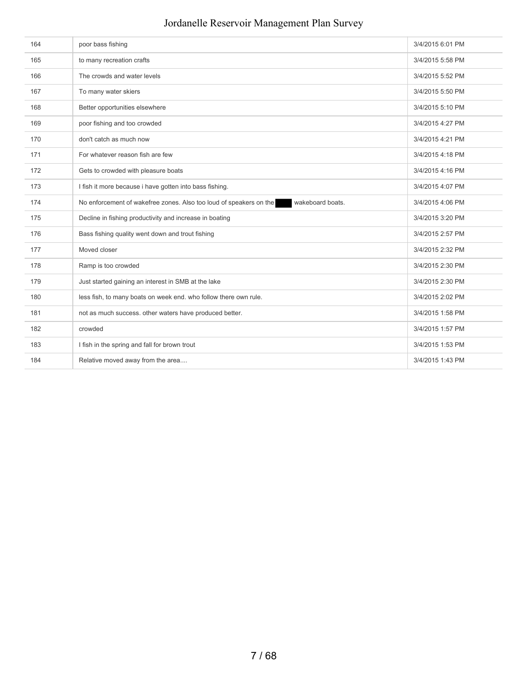| 164 | poor bass fishing                                                                      | 3/4/2015 6:01 PM |
|-----|----------------------------------------------------------------------------------------|------------------|
|     |                                                                                        |                  |
| 165 | to many recreation crafts                                                              | 3/4/2015 5:58 PM |
| 166 | The crowds and water levels                                                            | 3/4/2015 5:52 PM |
| 167 | To many water skiers                                                                   | 3/4/2015 5:50 PM |
| 168 | Better opportunities elsewhere                                                         | 3/4/2015 5:10 PM |
| 169 | poor fishing and too crowded                                                           | 3/4/2015 4:27 PM |
| 170 | don't catch as much now                                                                | 3/4/2015 4:21 PM |
| 171 | For whatever reason fish are few                                                       | 3/4/2015 4:18 PM |
| 172 | Gets to crowded with pleasure boats                                                    | 3/4/2015 4:16 PM |
| 173 | I fish it more because i have gotten into bass fishing.                                | 3/4/2015 4:07 PM |
| 174 | No enforcement of wakefree zones. Also too loud of speakers on the<br>wakeboard boats. | 3/4/2015 4:06 PM |
| 175 | Decline in fishing productivity and increase in boating                                | 3/4/2015 3:20 PM |
| 176 | Bass fishing quality went down and trout fishing                                       | 3/4/2015 2:57 PM |
| 177 | Moved closer                                                                           | 3/4/2015 2:32 PM |
| 178 | Ramp is too crowded                                                                    | 3/4/2015 2:30 PM |
| 179 | Just started gaining an interest in SMB at the lake                                    | 3/4/2015 2:30 PM |
| 180 | less fish, to many boats on week end. who follow there own rule.                       | 3/4/2015 2:02 PM |
| 181 | not as much success. other waters have produced better.                                | 3/4/2015 1:58 PM |
| 182 | crowded                                                                                | 3/4/2015 1:57 PM |
| 183 | I fish in the spring and fall for brown trout                                          | 3/4/2015 1:53 PM |
| 184 | Relative moved away from the area                                                      | 3/4/2015 1:43 PM |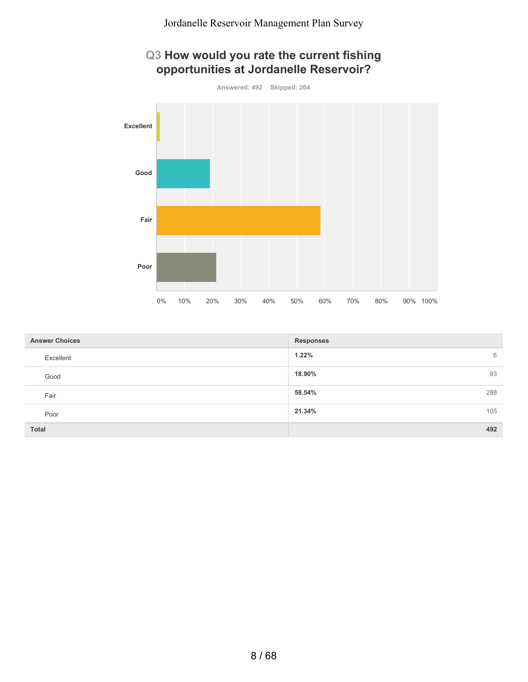



| <b>Answer Choices</b> | <b>Responses</b> |
|-----------------------|------------------|
| Excellent             | 1.22%<br>6       |
| Good                  | 93<br>18.90%     |
| Fair                  | 288<br>58.54%    |
| Poor                  | 105<br>21.34%    |
| <b>Total</b>          | 492              |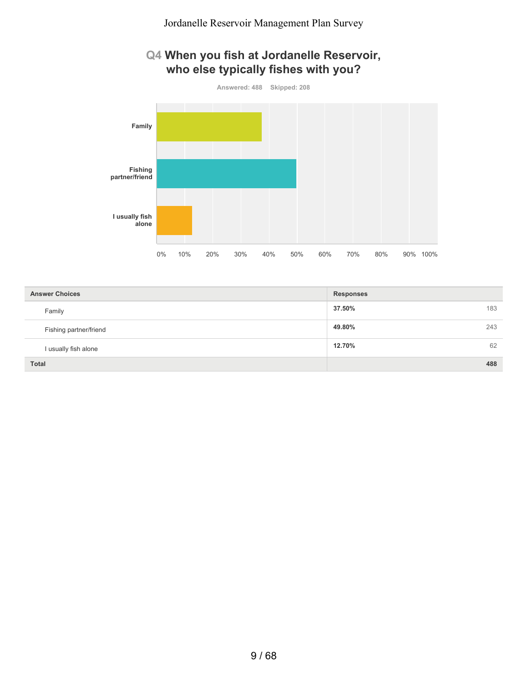### **Q4 When you fish at Jordanelle Reservoir, who else typically fishes with you?**



| <b>Answer Choices</b>  | <b>Responses</b> |
|------------------------|------------------|
| Family                 | 37.50%<br>183    |
| Fishing partner/friend | 49.80%<br>243    |
| I usually fish alone   | 62<br>12.70%     |
| <b>Total</b>           | 488              |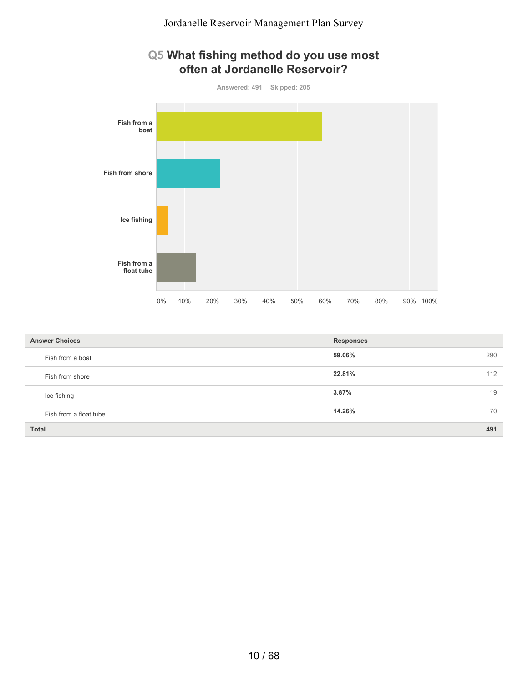### **Q5 What fishing method do you use most often at Jordanelle Reservoir?**



| <b>Answer Choices</b>  | <b>Responses</b> |
|------------------------|------------------|
| Fish from a boat       | 59.06%<br>290    |
| Fish from shore        | 22.81%<br>112    |
| Ice fishing            | 3.87%<br>19      |
| Fish from a float tube | 14.26%<br>70     |
| <b>Total</b>           | 491              |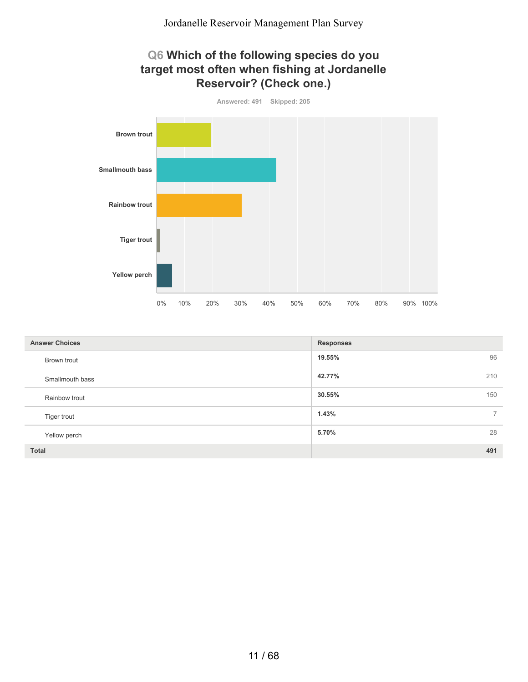#### **Q6 Which of the following species do you target most often when fishing at Jordanelle Reservoir? (Check one.)**



| <b>Answer Choices</b> | <b>Responses</b>        |
|-----------------------|-------------------------|
| Brown trout           | 96<br>19.55%            |
| Smallmouth bass       | 42.77%<br>210           |
| Rainbow trout         | 30.55%<br>150           |
| Tiger trout           | 1.43%<br>$\overline{7}$ |
| Yellow perch          | 28<br>5.70%             |
| <b>Total</b>          | 491                     |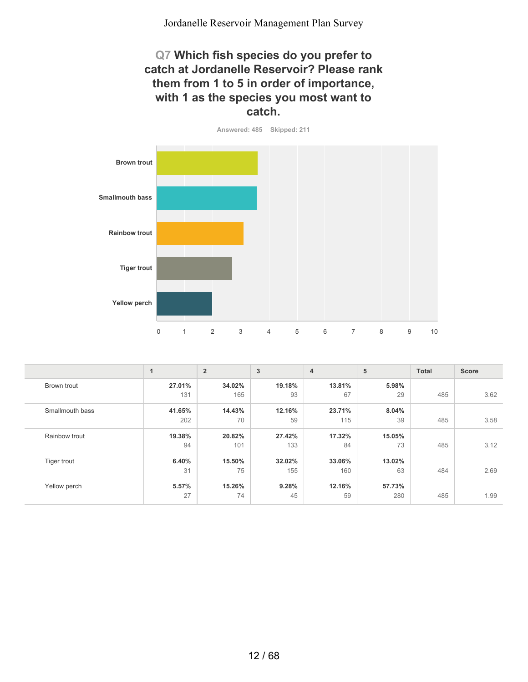#### **Q7 Which fish species do you prefer to catch at Jordanelle Reservoir? Please rank them from 1 to 5 in order of importance, with 1 as the species you most want to catch.**



|                 | 1      | $\overline{2}$ | 3      | $\overline{4}$ | 5      | <b>Total</b> | <b>Score</b> |
|-----------------|--------|----------------|--------|----------------|--------|--------------|--------------|
| Brown trout     | 27.01% | 34.02%         | 19.18% | 13.81%         | 5.98%  |              |              |
|                 | 131    | 165            | 93     | 67             | 29     | 485          | 3.62         |
| Smallmouth bass | 41.65% | 14.43%         | 12.16% | 23.71%         | 8.04%  |              |              |
|                 | 202    | 70             | 59     | 115            | 39     | 485          | 3.58         |
| Rainbow trout   | 19.38% | 20.82%         | 27.42% | 17.32%         | 15.05% |              |              |
|                 | 94     | 101            | 133    | 84             | 73     | 485          | 3.12         |
| Tiger trout     | 6.40%  | 15.50%         | 32.02% | 33.06%         | 13.02% |              |              |
|                 | 31     | 75             | 155    | 160            | 63     | 484          | 2.69         |
| Yellow perch    | 5.57%  | 15.26%         | 9.28%  | 12.16%         | 57.73% |              |              |
|                 | 27     | 74             | 45     | 59             | 280    | 485          | 1.99         |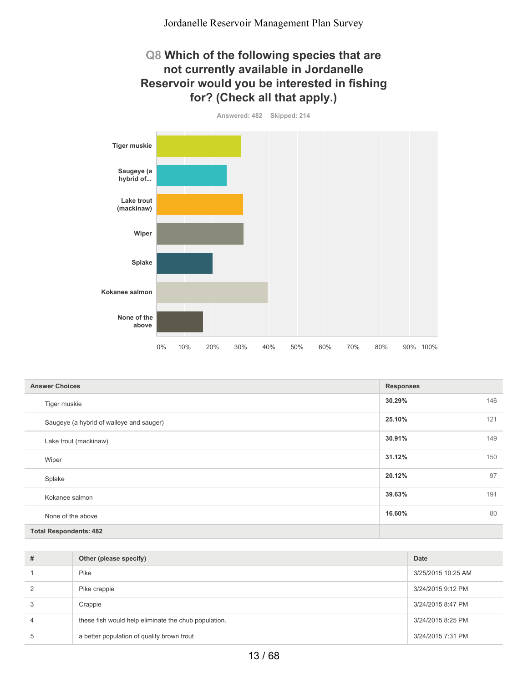#### **Q8 Which of the following species that are not currently available in Jordanelle Reservoir would you be interested in fishing for? (Check all that apply.)**

**Answered: 482 Skipped: 214 Tiger muskie Saugeye (a hybrid of... Lake trout (mackinaw) Wiper Splake Kokanee salmon None of the above** 0% 10% 20% 30% 40% 50% 60% 70% 80% 90% 100%

| <b>Answer Choices</b>                    | <b>Responses</b> |     |
|------------------------------------------|------------------|-----|
| Tiger muskie                             | 30.29%           | 146 |
| Saugeye (a hybrid of walleye and sauger) | 25.10%           | 121 |
| Lake trout (mackinaw)                    | 30.91%           | 149 |
| Wiper                                    | 31.12%           | 150 |
| Splake                                   | 20.12%           | 97  |
| Kokanee salmon                           | 39.63%           | 191 |
| None of the above                        | 16.60%           | 80  |
| <b>Total Respondents: 482</b>            |                  |     |

| # | Other (please specify)                               | Date               |
|---|------------------------------------------------------|--------------------|
|   | Pike                                                 | 3/25/2015 10:25 AM |
| 2 | Pike crappie                                         | 3/24/2015 9:12 PM  |
| 3 | Crappie                                              | 3/24/2015 8:47 PM  |
| 4 | these fish would help eliminate the chub population. | 3/24/2015 8:25 PM  |
| 5 | a better population of quality brown trout           | 3/24/2015 7:31 PM  |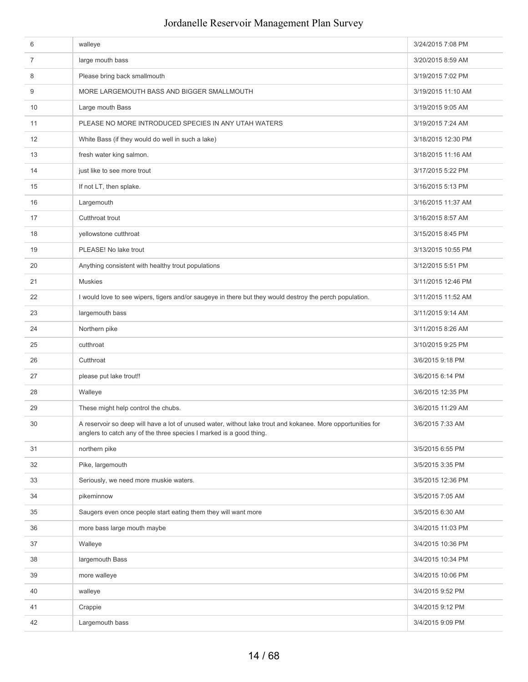| 6              | walleye                                                                                                                                                                            | 3/24/2015 7:08 PM  |
|----------------|------------------------------------------------------------------------------------------------------------------------------------------------------------------------------------|--------------------|
| $\overline{7}$ | large mouth bass                                                                                                                                                                   | 3/20/2015 8:59 AM  |
| 8              | Please bring back smallmouth                                                                                                                                                       | 3/19/2015 7:02 PM  |
| 9              | MORE LARGEMOUTH BASS AND BIGGER SMALLMOUTH                                                                                                                                         | 3/19/2015 11:10 AM |
| 10             | Large mouth Bass                                                                                                                                                                   | 3/19/2015 9:05 AM  |
| 11             | PLEASE NO MORE INTRODUCED SPECIES IN ANY UTAH WATERS                                                                                                                               | 3/19/2015 7:24 AM  |
| 12             | White Bass (if they would do well in such a lake)                                                                                                                                  | 3/18/2015 12:30 PM |
| 13             | fresh water king salmon.                                                                                                                                                           | 3/18/2015 11:16 AM |
| 14             | just like to see more trout                                                                                                                                                        | 3/17/2015 5:22 PM  |
| 15             | If not LT, then splake.                                                                                                                                                            | 3/16/2015 5:13 PM  |
| 16             | Largemouth                                                                                                                                                                         | 3/16/2015 11:37 AM |
| 17             | Cutthroat trout                                                                                                                                                                    | 3/16/2015 8:57 AM  |
| 18             | yellowstone cutthroat                                                                                                                                                              | 3/15/2015 8:45 PM  |
| 19             | PLEASE! No lake trout                                                                                                                                                              | 3/13/2015 10:55 PM |
| 20             | Anything consistent with healthy trout populations                                                                                                                                 | 3/12/2015 5:51 PM  |
| 21             | <b>Muskies</b>                                                                                                                                                                     | 3/11/2015 12:46 PM |
| 22             | I would love to see wipers, tigers and/or saugeye in there but they would destroy the perch population.                                                                            | 3/11/2015 11:52 AM |
| 23             | largemouth bass                                                                                                                                                                    | 3/11/2015 9:14 AM  |
| 24             | Northern pike                                                                                                                                                                      | 3/11/2015 8:26 AM  |
| 25             | cutthroat                                                                                                                                                                          | 3/10/2015 9:25 PM  |
| 26             | Cutthroat                                                                                                                                                                          | 3/6/2015 9:18 PM   |
| 27             | please put lake trout!!                                                                                                                                                            | 3/6/2015 6:14 PM   |
| 28             | Walleye                                                                                                                                                                            | 3/6/2015 12:35 PM  |
| 29             | These might help control the chubs.                                                                                                                                                | 3/6/2015 11:29 AM  |
| 30             | A reservoir so deep will have a lot of unused water, without lake trout and kokanee. More opportunities for<br>anglers to catch any of the three species I marked is a good thing. | 3/6/2015 7:33 AM   |
| 31             | northern pike                                                                                                                                                                      | 3/5/2015 6:55 PM   |
| 32             | Pike, largemouth                                                                                                                                                                   | 3/5/2015 3:35 PM   |
| 33             | Seriously, we need more muskie waters.                                                                                                                                             | 3/5/2015 12:36 PM  |
| 34             | pikeminnow                                                                                                                                                                         | 3/5/2015 7:05 AM   |
| 35             | Saugers even once people start eating them they will want more                                                                                                                     | 3/5/2015 6:30 AM   |
| 36             | more bass large mouth maybe                                                                                                                                                        | 3/4/2015 11:03 PM  |
| 37             | Walleye                                                                                                                                                                            | 3/4/2015 10:36 PM  |
| 38             | largemouth Bass                                                                                                                                                                    | 3/4/2015 10:34 PM  |
| 39             | more walleye                                                                                                                                                                       | 3/4/2015 10:06 PM  |
| 40             | walleye                                                                                                                                                                            | 3/4/2015 9:52 PM   |
| 41             | Crappie                                                                                                                                                                            | 3/4/2015 9:12 PM   |
| 42             | Largemouth bass                                                                                                                                                                    | 3/4/2015 9:09 PM   |
|                |                                                                                                                                                                                    |                    |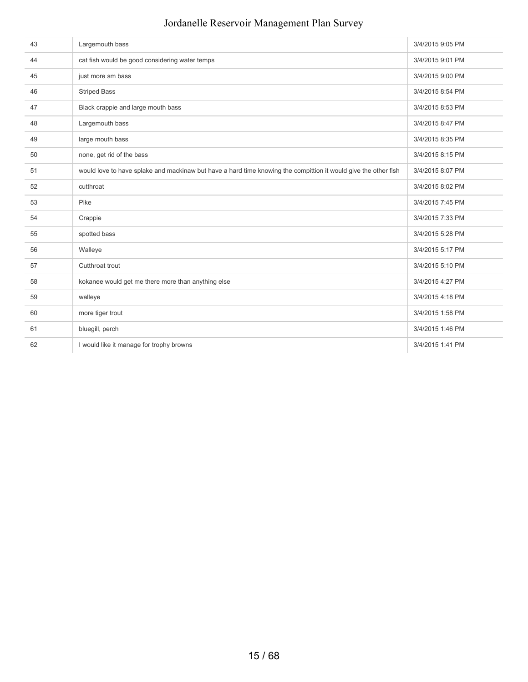| 43 | Largemouth bass                                                                                                 | 3/4/2015 9:05 PM |
|----|-----------------------------------------------------------------------------------------------------------------|------------------|
| 44 | cat fish would be good considering water temps                                                                  | 3/4/2015 9:01 PM |
| 45 | just more sm bass                                                                                               | 3/4/2015 9:00 PM |
| 46 | <b>Striped Bass</b>                                                                                             | 3/4/2015 8:54 PM |
| 47 | Black crappie and large mouth bass                                                                              | 3/4/2015 8:53 PM |
| 48 | Largemouth bass                                                                                                 | 3/4/2015 8:47 PM |
| 49 | large mouth bass                                                                                                | 3/4/2015 8:35 PM |
| 50 | none, get rid of the bass                                                                                       | 3/4/2015 8:15 PM |
| 51 | would love to have splake and mackinaw but have a hard time knowing the compittion it would give the other fish | 3/4/2015 8:07 PM |
| 52 | cutthroat                                                                                                       | 3/4/2015 8:02 PM |
| 53 | Pike                                                                                                            | 3/4/2015 7:45 PM |
| 54 | Crappie                                                                                                         | 3/4/2015 7:33 PM |
| 55 | spotted bass                                                                                                    | 3/4/2015 5:28 PM |
| 56 | Walleye                                                                                                         | 3/4/2015 5:17 PM |
| 57 | Cutthroat trout                                                                                                 | 3/4/2015 5:10 PM |
| 58 | kokanee would get me there more than anything else                                                              | 3/4/2015 4:27 PM |
| 59 | walleye                                                                                                         | 3/4/2015 4:18 PM |
| 60 | more tiger trout                                                                                                | 3/4/2015 1:58 PM |
| 61 | bluegill, perch                                                                                                 | 3/4/2015 1:46 PM |
| 62 | I would like it manage for trophy browns                                                                        | 3/4/2015 1:41 PM |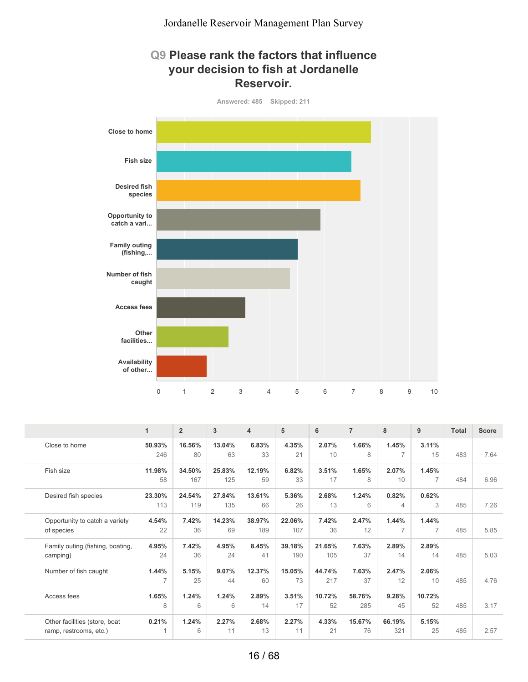#### **Q9 Please rank the factors that influence your decision to fish at Jordanelle Reservoir.**



|                                  | $\mathbf{1}$   | $\overline{2}$ | 3      | 4      | 5      | 6      | $\overline{7}$ | 8              | 9              | <b>Total</b> | <b>Score</b> |
|----------------------------------|----------------|----------------|--------|--------|--------|--------|----------------|----------------|----------------|--------------|--------------|
| Close to home                    | 50.93%         | 16.56%         | 13.04% | 6.83%  | 4.35%  | 2.07%  | 1.66%          | 1.45%          | 3.11%          |              |              |
|                                  | 246            | 80             | 63     | 33     | 21     | 10     | 8              | $\overline{7}$ | 15             | 483          | 7.64         |
| Fish size                        | 11.98%         | 34.50%         | 25.83% | 12.19% | 6.82%  | 3.51%  | 1.65%          | 2.07%          | 1.45%          |              |              |
|                                  | 58             | 167            | 125    | 59     | 33     | 17     | 8              | 10             |                | 484          | 6.96         |
| Desired fish species             | 23.30%         | 24.54%         | 27.84% | 13.61% | 5.36%  | 2.68%  | 1.24%          | 0.82%          | 0.62%          |              |              |
|                                  | 113            | 119            | 135    | 66     | 26     | 13     | 6              | 4              | 3              | 485          | 7.26         |
| Opportunity to catch a variety   | 4.54%          | 7.42%          | 14.23% | 38.97% | 22.06% | 7.42%  | 2.47%          | 1.44%          | 1.44%          |              |              |
| of species                       | 22             | 36             | 69     | 189    | 107    | 36     | 12             | $\overline{7}$ | $\overline{7}$ | 485          | 5.85         |
| Family outing (fishing, boating, | 4.95%          | 7.42%          | 4.95%  | 8.45%  | 39.18% | 21.65% | 7.63%          | 2.89%          | 2.89%          |              |              |
| camping)                         | 24             | 36             | 24     | 41     | 190    | 105    | 37             | 14             | 14             | 485          | 5.03         |
| Number of fish caught            | 1.44%          | 5.15%          | 9.07%  | 12.37% | 15.05% | 44.74% | 7.63%          | 2.47%          | 2.06%          |              |              |
|                                  | $\overline{7}$ | 25             | 44     | 60     | 73     | 217    | 37             | 12             | 10             | 485          | 4.76         |
| Access fees                      | 1.65%          | 1.24%          | 1.24%  | 2.89%  | 3.51%  | 10.72% | 58.76%         | 9.28%          | 10.72%         |              |              |
|                                  | 8              | 6              | 6      | 14     | 17     | 52     | 285            | 45             | 52             | 485          | 3.17         |
| Other facilities (store, boat    | 0.21%          | 1.24%          | 2.27%  | 2.68%  | 2.27%  | 4.33%  | 15.67%         | 66.19%         | 5.15%          |              |              |
| ramp, restrooms, etc.)           | 1              | 6              | 11     | 13     | 11     | 21     | 76             | 321            | 25             | 485          | 2.57         |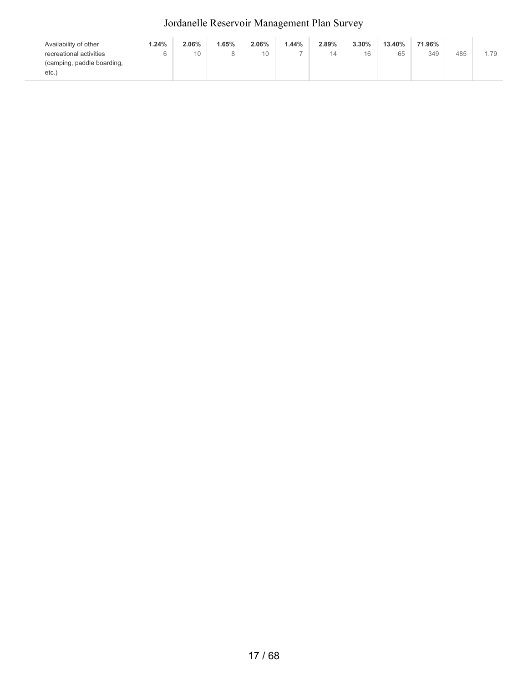| Availability of other      | 1.24% | 2.06% | .65% | 2.06% | .44% | 2.89% | 3.30% | 13.40% | 71.96% |     |      |
|----------------------------|-------|-------|------|-------|------|-------|-------|--------|--------|-----|------|
| recreational activities    | 6     | 10    |      | 10    |      | 14    | 16    | 65     | 349    | 485 | 1.79 |
| (camping, paddle boarding, |       |       |      |       |      |       |       |        |        |     |      |
| etc.                       |       |       |      |       |      |       |       |        |        |     |      |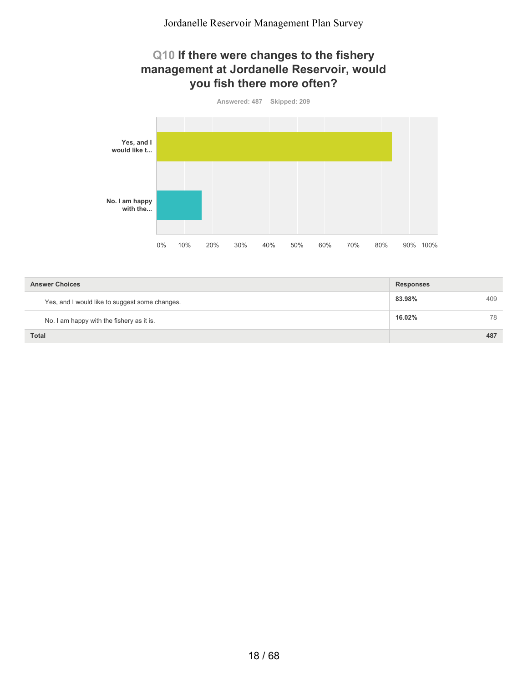#### **Q10 If there were changes to the fishery management at Jordanelle Reservoir, would you fish there more often?**



| <b>Answer Choices</b>                          | <b>Responses</b> |     |
|------------------------------------------------|------------------|-----|
| Yes, and I would like to suggest some changes. | 83.98%           | 409 |
| No. I am happy with the fishery as it is.      | 16.02%           | 78  |
| <b>Total</b>                                   |                  | 487 |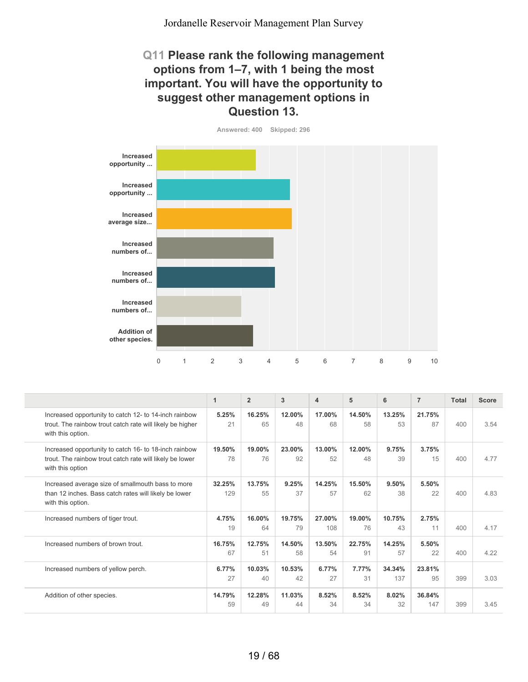#### **Q11 Please rank the following management options from 1–7, with 1 being the most important. You will have the opportunity to suggest other management options in Question 13.**





|                                                                                                                                         | 1             | $\overline{2}$ | 3            | 4             | 5            | 6             | $\overline{7}$ | <b>Total</b> | <b>Score</b> |
|-----------------------------------------------------------------------------------------------------------------------------------------|---------------|----------------|--------------|---------------|--------------|---------------|----------------|--------------|--------------|
| Increased opportunity to catch 12- to 14-inch rainbow<br>trout. The rainbow trout catch rate will likely be higher<br>with this option. | 5.25%<br>21   | 16.25%<br>65   | 12.00%<br>48 | 17.00%<br>68  | 14.50%<br>58 | 13.25%<br>53  | 21.75%<br>87   | 400          | 3.54         |
| Increased opportunity to catch 16- to 18-inch rainbow<br>trout. The rainbow trout catch rate will likely be lower<br>with this option   | 19.50%<br>78  | 19.00%<br>76   | 23.00%<br>92 | 13.00%<br>52  | 12.00%<br>48 | 9.75%<br>39   | 3.75%<br>15    | 400          | 4.77         |
| Increased average size of smallmouth bass to more<br>than 12 inches. Bass catch rates will likely be lower<br>with this option.         | 32.25%<br>129 | 13.75%<br>55   | 9.25%<br>37  | 14.25%<br>57  | 15.50%<br>62 | 9.50%<br>38   | 5.50%<br>22    | 400          | 4.83         |
| Increased numbers of tiger trout.                                                                                                       | 4.75%<br>19   | 16.00%<br>64   | 19.75%<br>79 | 27.00%<br>108 | 19.00%<br>76 | 10.75%<br>43  | 2.75%<br>11    | 400          | 4.17         |
| Increased numbers of brown trout.                                                                                                       | 16.75%<br>67  | 12.75%<br>51   | 14.50%<br>58 | 13.50%<br>54  | 22.75%<br>91 | 14.25%<br>57  | 5.50%<br>22    | 400          | 4.22         |
| Increased numbers of yellow perch.                                                                                                      | 6.77%<br>27   | 10.03%<br>40   | 10.53%<br>42 | 6.77%<br>27   | 7.77%<br>31  | 34.34%<br>137 | 23.81%<br>95   | 399          | 3.03         |
| Addition of other species.                                                                                                              | 14.79%<br>59  | 12.28%<br>49   | 11.03%<br>44 | 8.52%<br>34   | 8.52%<br>34  | 8.02%<br>32   | 36.84%<br>147  | 399          | 3.45         |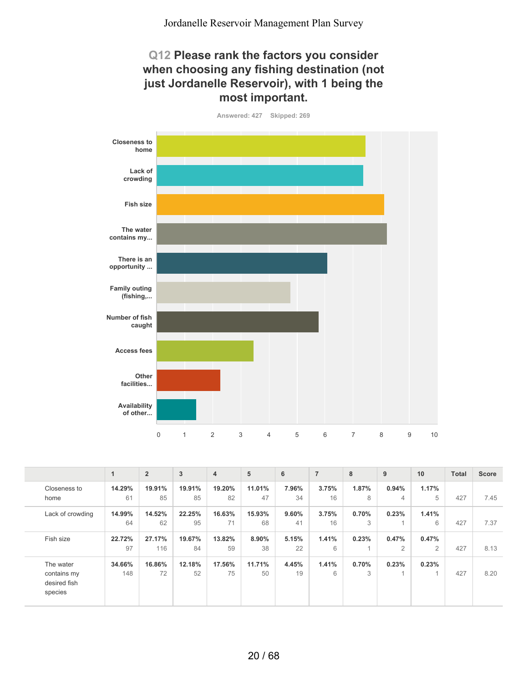#### **Q12 Please rank the factors you consider when choosing any fishing destination (not just Jordanelle Reservoir), with 1 being the most important.**



**Answered: 427 Skipped: 269**

|                  | 1      | $\overline{2}$ | 3      | 4      | 5      | 6     | $\overline{7}$ | 8     | 9              | 10             | <b>Total</b> | <b>Score</b> |
|------------------|--------|----------------|--------|--------|--------|-------|----------------|-------|----------------|----------------|--------------|--------------|
| Closeness to     | 14.29% | 19.91%         | 19.91% | 19.20% | 11.01% | 7.96% | 3.75%          | 1.87% | 0.94%          | 1.17%          |              |              |
| home             | 61     | 85             | 85     | 82     | 47     | 34    | 16             | 8     | 4              | 5              | 427          | 7.45         |
| Lack of crowding | 14.99% | 14.52%         | 22.25% | 16.63% | 15.93% | 9.60% | 3.75%          | 0.70% | 0.23%          | 1.41%          |              |              |
|                  | 64     | 62             | 95     | 71     | 68     | 41    | 16             | 3     |                | 6              | 427          | 7.37         |
| Fish size        | 22.72% | 27.17%         | 19.67% | 13.82% | 8.90%  | 5.15% | 1.41%          | 0.23% | 0.47%          | 0.47%          |              |              |
|                  | 97     | 116            | 84     | 59     | 38     | 22    | 6              |       | $\overline{2}$ | $\overline{2}$ | 427          | 8.13         |
| The water        | 34.66% | 16.86%         | 12.18% | 17.56% | 11.71% | 4.45% | 1.41%          | 0.70% | 0.23%          | 0.23%          |              |              |
| contains my      | 148    | 72             | 52     | 75     | 50     | 19    | 6              | 3     | $\overline{A}$ |                | 427          | 8.20         |
| desired fish     |        |                |        |        |        |       |                |       |                |                |              |              |
| species          |        |                |        |        |        |       |                |       |                |                |              |              |
|                  |        |                |        |        |        |       |                |       |                |                |              |              |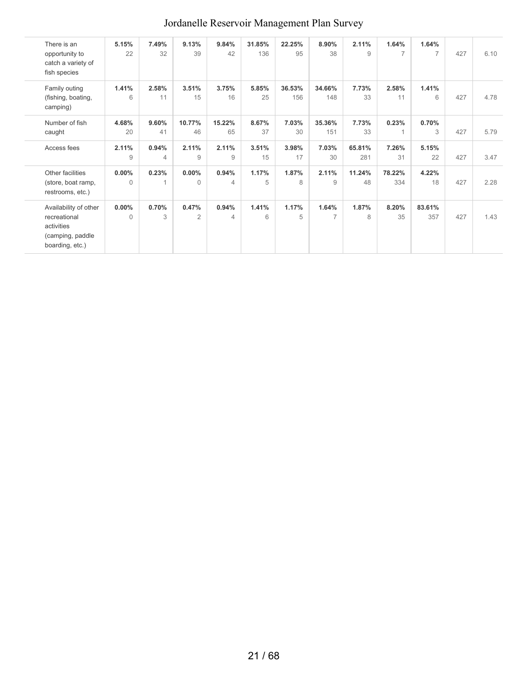| There is an<br>opportunity to<br>catch a variety of<br>fish species                        | 5.15%<br>22       | 7.49%<br>32 | 9.13%<br>39             | 9.84%<br>42             | 31.85%<br>136 | 22.25%<br>95  | 8.90%<br>38             | 2.11%<br>9    | 1.64%<br>$\overline{7}$ | 1.64%<br>$\overline{7}$ | 427 | 6.10 |
|--------------------------------------------------------------------------------------------|-------------------|-------------|-------------------------|-------------------------|---------------|---------------|-------------------------|---------------|-------------------------|-------------------------|-----|------|
| Family outing<br>(fishing, boating,<br>camping)                                            | 1.41%<br>6        | 2.58%<br>11 | 3.51%<br>15             | 3.75%<br>16             | 5.85%<br>25   | 36.53%<br>156 | 34.66%<br>148           | 7.73%<br>33   | 2.58%<br>11             | 1.41%<br>6              | 427 | 4.78 |
| Number of fish<br>caught                                                                   | 4.68%<br>20       | 9.60%<br>41 | 10.77%<br>46            | 15.22%<br>65            | 8.67%<br>37   | 7.03%<br>30   | 35.36%<br>151           | 7.73%<br>33   | 0.23%                   | 0.70%<br>3              | 427 | 5.79 |
| Access fees                                                                                | 2.11%<br>9        | 0.94%<br>4  | 2.11%<br>9              | 2.11%<br>9              | 3.51%<br>15   | 3.98%<br>17   | 7.03%<br>30             | 65.81%<br>281 | 7.26%<br>31             | 5.15%<br>22             | 427 | 3.47 |
| Other facilities<br>(store, boat ramp,<br>restrooms, etc.)                                 | 0.00%<br>$\Omega$ | 0.23%<br>1  | $0.00\%$<br>$\Omega$    | 0.94%<br>4              | 1.17%<br>5    | 1.87%<br>8    | 2.11%<br>9              | 11.24%<br>48  | 78.22%<br>334           | 4.22%<br>18             | 427 | 2.28 |
| Availability of other<br>recreational<br>activities<br>(camping, paddle<br>boarding, etc.) | 0.00%<br>$\Omega$ | 0.70%<br>3  | 0.47%<br>$\overline{2}$ | 0.94%<br>$\overline{4}$ | 1.41%<br>6    | 1.17%<br>5    | 1.64%<br>$\overline{7}$ | 1.87%<br>8    | 8.20%<br>35             | 83.61%<br>357           | 427 | 1.43 |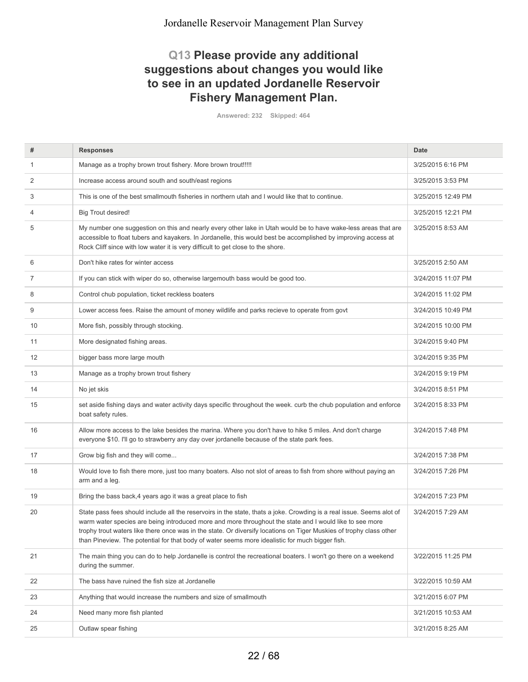#### **Q13 Please provide any additional suggestions about changes you would like to see in an updated Jordanelle Reservoir Fishery Management Plan.**

**Answered: 232 Skipped: 464**

| #  | <b>Responses</b>                                                                                                                                                                                                                                                                                                                                                                                                                                           | <b>Date</b>        |
|----|------------------------------------------------------------------------------------------------------------------------------------------------------------------------------------------------------------------------------------------------------------------------------------------------------------------------------------------------------------------------------------------------------------------------------------------------------------|--------------------|
| 1  | Manage as a trophy brown trout fishery. More brown trout!!!!!                                                                                                                                                                                                                                                                                                                                                                                              | 3/25/2015 6:16 PM  |
| 2  | Increase access around south and south/east regions                                                                                                                                                                                                                                                                                                                                                                                                        | 3/25/2015 3:53 PM  |
| 3  | This is one of the best smallmouth fisheries in northern utah and I would like that to continue.                                                                                                                                                                                                                                                                                                                                                           | 3/25/2015 12:49 PM |
| 4  | <b>Big Trout desired!</b>                                                                                                                                                                                                                                                                                                                                                                                                                                  | 3/25/2015 12:21 PM |
| 5  | My number one suggestion on this and nearly every other lake in Utah would be to have wake-less areas that are<br>accessible to float tubers and kayakers. In Jordanelle, this would best be accomplished by improving access at<br>Rock Cliff since with low water it is very difficult to get close to the shore.                                                                                                                                        | 3/25/2015 8:53 AM  |
| 6  | Don't hike rates for winter access                                                                                                                                                                                                                                                                                                                                                                                                                         | 3/25/2015 2:50 AM  |
| 7  | If you can stick with wiper do so, otherwise largemouth bass would be good too.                                                                                                                                                                                                                                                                                                                                                                            | 3/24/2015 11:07 PM |
| 8  | Control chub population, ticket reckless boaters                                                                                                                                                                                                                                                                                                                                                                                                           | 3/24/2015 11:02 PM |
| 9  | Lower access fees. Raise the amount of money wildlife and parks recieve to operate from govt                                                                                                                                                                                                                                                                                                                                                               | 3/24/2015 10:49 PM |
| 10 | More fish, possibly through stocking.                                                                                                                                                                                                                                                                                                                                                                                                                      | 3/24/2015 10:00 PM |
| 11 | More designated fishing areas.                                                                                                                                                                                                                                                                                                                                                                                                                             | 3/24/2015 9:40 PM  |
| 12 | bigger bass more large mouth                                                                                                                                                                                                                                                                                                                                                                                                                               | 3/24/2015 9:35 PM  |
| 13 | Manage as a trophy brown trout fishery                                                                                                                                                                                                                                                                                                                                                                                                                     | 3/24/2015 9:19 PM  |
| 14 | No jet skis                                                                                                                                                                                                                                                                                                                                                                                                                                                | 3/24/2015 8:51 PM  |
| 15 | set aside fishing days and water activity days specific throughout the week. curb the chub population and enforce<br>boat safety rules.                                                                                                                                                                                                                                                                                                                    | 3/24/2015 8:33 PM  |
| 16 | Allow more access to the lake besides the marina. Where you don't have to hike 5 miles. And don't charge<br>everyone \$10. I'll go to strawberry any day over jordanelle because of the state park fees.                                                                                                                                                                                                                                                   | 3/24/2015 7:48 PM  |
| 17 | Grow big fish and they will come                                                                                                                                                                                                                                                                                                                                                                                                                           | 3/24/2015 7:38 PM  |
| 18 | Would love to fish there more, just too many boaters. Also not slot of areas to fish from shore without paying an<br>arm and a leg.                                                                                                                                                                                                                                                                                                                        | 3/24/2015 7:26 PM  |
| 19 | Bring the bass back, 4 years ago it was a great place to fish                                                                                                                                                                                                                                                                                                                                                                                              | 3/24/2015 7:23 PM  |
| 20 | State pass fees should include all the reservoirs in the state, thats a joke. Crowding is a real issue. Seems alot of<br>warm water species are being introduced more and more throughout the state and I would like to see more<br>trophy trout waters like there once was in the state. Or diversify locations on Tiger Muskies of trophy class other<br>than Pineview. The potential for that body of water seems more idealistic for much bigger fish. | 3/24/2015 7:29 AM  |
| 21 | The main thing you can do to help Jordanelle is control the recreational boaters. I won't go there on a weekend<br>during the summer.                                                                                                                                                                                                                                                                                                                      | 3/22/2015 11:25 PM |
| 22 | The bass have ruined the fish size at Jordanelle                                                                                                                                                                                                                                                                                                                                                                                                           | 3/22/2015 10:59 AM |
| 23 | Anything that would increase the numbers and size of smallmouth                                                                                                                                                                                                                                                                                                                                                                                            | 3/21/2015 6:07 PM  |
| 24 | Need many more fish planted                                                                                                                                                                                                                                                                                                                                                                                                                                | 3/21/2015 10:53 AM |
| 25 | Outlaw spear fishing                                                                                                                                                                                                                                                                                                                                                                                                                                       | 3/21/2015 8:25 AM  |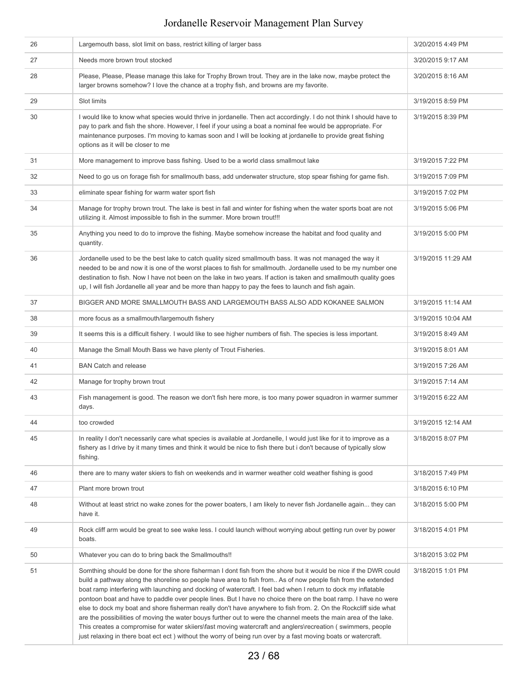| 26 | Largemouth bass, slot limit on bass, restrict killing of larger bass                                                                                                                                                                                                                                                                                                                                                                                                                                                                                                                                                                                                                                                                                                                                                                                                                                                                         | 3/20/2015 4:49 PM  |
|----|----------------------------------------------------------------------------------------------------------------------------------------------------------------------------------------------------------------------------------------------------------------------------------------------------------------------------------------------------------------------------------------------------------------------------------------------------------------------------------------------------------------------------------------------------------------------------------------------------------------------------------------------------------------------------------------------------------------------------------------------------------------------------------------------------------------------------------------------------------------------------------------------------------------------------------------------|--------------------|
| 27 | Needs more brown trout stocked                                                                                                                                                                                                                                                                                                                                                                                                                                                                                                                                                                                                                                                                                                                                                                                                                                                                                                               | 3/20/2015 9:17 AM  |
| 28 | Please, Please, Please manage this lake for Trophy Brown trout. They are in the lake now, maybe protect the<br>larger browns somehow? I love the chance at a trophy fish, and browns are my favorite.                                                                                                                                                                                                                                                                                                                                                                                                                                                                                                                                                                                                                                                                                                                                        | 3/20/2015 8:16 AM  |
| 29 | Slot limits                                                                                                                                                                                                                                                                                                                                                                                                                                                                                                                                                                                                                                                                                                                                                                                                                                                                                                                                  | 3/19/2015 8:59 PM  |
| 30 | I would like to know what species would thrive in jordanelle. Then act accordingly. I do not think I should have to<br>pay to park and fish the shore. However, I feel if your using a boat a nominal fee would be appropriate. For<br>maintenance purposes. I'm moving to kamas soon and I will be looking at jordanelle to provide great fishing<br>options as it will be closer to me                                                                                                                                                                                                                                                                                                                                                                                                                                                                                                                                                     | 3/19/2015 8:39 PM  |
| 31 | More management to improve bass fishing. Used to be a world class smallmout lake                                                                                                                                                                                                                                                                                                                                                                                                                                                                                                                                                                                                                                                                                                                                                                                                                                                             | 3/19/2015 7:22 PM  |
| 32 | Need to go us on forage fish for smallmouth bass, add underwater structure, stop spear fishing for game fish.                                                                                                                                                                                                                                                                                                                                                                                                                                                                                                                                                                                                                                                                                                                                                                                                                                | 3/19/2015 7:09 PM  |
| 33 | eliminate spear fishing for warm water sport fish                                                                                                                                                                                                                                                                                                                                                                                                                                                                                                                                                                                                                                                                                                                                                                                                                                                                                            | 3/19/2015 7:02 PM  |
| 34 | Manage for trophy brown trout. The lake is best in fall and winter for fishing when the water sports boat are not<br>utilizing it. Almost impossible to fish in the summer. More brown trout!!!                                                                                                                                                                                                                                                                                                                                                                                                                                                                                                                                                                                                                                                                                                                                              | 3/19/2015 5:06 PM  |
| 35 | Anything you need to do to improve the fishing. Maybe somehow increase the habitat and food quality and<br>quantity.                                                                                                                                                                                                                                                                                                                                                                                                                                                                                                                                                                                                                                                                                                                                                                                                                         | 3/19/2015 5:00 PM  |
| 36 | Jordanelle used to be the best lake to catch quality sized smallmouth bass. It was not managed the way it<br>needed to be and now it is one of the worst places to fish for smallmouth. Jordanelle used to be my number one<br>destination to fish. Now I have not been on the lake in two years. If action is taken and smallmouth quality goes<br>up, I will fish Jordanelle all year and be more than happy to pay the fees to launch and fish again.                                                                                                                                                                                                                                                                                                                                                                                                                                                                                     | 3/19/2015 11:29 AM |
| 37 | BIGGER AND MORE SMALLMOUTH BASS AND LARGEMOUTH BASS ALSO ADD KOKANEE SALMON                                                                                                                                                                                                                                                                                                                                                                                                                                                                                                                                                                                                                                                                                                                                                                                                                                                                  | 3/19/2015 11:14 AM |
| 38 | more focus as a smallmouth/largemouth fishery                                                                                                                                                                                                                                                                                                                                                                                                                                                                                                                                                                                                                                                                                                                                                                                                                                                                                                | 3/19/2015 10:04 AM |
| 39 | It seems this is a difficult fishery. I would like to see higher numbers of fish. The species is less important.                                                                                                                                                                                                                                                                                                                                                                                                                                                                                                                                                                                                                                                                                                                                                                                                                             | 3/19/2015 8:49 AM  |
| 40 | Manage the Small Mouth Bass we have plenty of Trout Fisheries.                                                                                                                                                                                                                                                                                                                                                                                                                                                                                                                                                                                                                                                                                                                                                                                                                                                                               | 3/19/2015 8:01 AM  |
| 41 | <b>BAN Catch and release</b>                                                                                                                                                                                                                                                                                                                                                                                                                                                                                                                                                                                                                                                                                                                                                                                                                                                                                                                 | 3/19/2015 7:26 AM  |
| 42 | Manage for trophy brown trout                                                                                                                                                                                                                                                                                                                                                                                                                                                                                                                                                                                                                                                                                                                                                                                                                                                                                                                | 3/19/2015 7:14 AM  |
| 43 | Fish management is good. The reason we don't fish here more, is too many power squadron in warmer summer<br>days.                                                                                                                                                                                                                                                                                                                                                                                                                                                                                                                                                                                                                                                                                                                                                                                                                            | 3/19/2015 6:22 AM  |
| 44 | too crowded                                                                                                                                                                                                                                                                                                                                                                                                                                                                                                                                                                                                                                                                                                                                                                                                                                                                                                                                  | 3/19/2015 12:14 AM |
| 45 | In reality I don't necessarily care what species is available at Jordanelle, I would just like for it to improve as a<br>fishery as I drive by it many times and think it would be nice to fish there but i don't because of typically slow<br>fishing.                                                                                                                                                                                                                                                                                                                                                                                                                                                                                                                                                                                                                                                                                      | 3/18/2015 8:07 PM  |
| 46 | there are to many water skiers to fish on weekends and in warmer weather cold weather fishing is good                                                                                                                                                                                                                                                                                                                                                                                                                                                                                                                                                                                                                                                                                                                                                                                                                                        | 3/18/2015 7:49 PM  |
| 47 | Plant more brown trout                                                                                                                                                                                                                                                                                                                                                                                                                                                                                                                                                                                                                                                                                                                                                                                                                                                                                                                       | 3/18/2015 6:10 PM  |
| 48 | Without at least strict no wake zones for the power boaters, I am likely to never fish Jordanelle again they can<br>have it.                                                                                                                                                                                                                                                                                                                                                                                                                                                                                                                                                                                                                                                                                                                                                                                                                 | 3/18/2015 5:00 PM  |
| 49 | Rock cliff arm would be great to see wake less. I could launch without worrying about getting run over by power<br>boats.                                                                                                                                                                                                                                                                                                                                                                                                                                                                                                                                                                                                                                                                                                                                                                                                                    | 3/18/2015 4:01 PM  |
| 50 | Whatever you can do to bring back the Smallmouths!!                                                                                                                                                                                                                                                                                                                                                                                                                                                                                                                                                                                                                                                                                                                                                                                                                                                                                          | 3/18/2015 3:02 PM  |
| 51 | Somthing should be done for the shore fisherman I dont fish from the shore but it would be nice if the DWR could<br>build a pathway along the shoreline so people have area to fish from As of now people fish from the extended<br>boat ramp interfering with launching and docking of watercraft. I feel bad when I return to dock my inflatable<br>pontoon boat and have to paddle over people lines. But I have no choice there on the boat ramp. I have no were<br>else to dock my boat and shore fisherman really don't have anywhere to fish from. 2. On the Rockcliff side what<br>are the possibilities of moving the water bouys further out to were the channel meets the main area of the lake.<br>This creates a compromise for water skiiers\fast moving watercraft and anglers\recreation (swimmers, people<br>just relaxing in there boat ect ect) without the worry of being run over by a fast moving boats or watercraft. | 3/18/2015 1:01 PM  |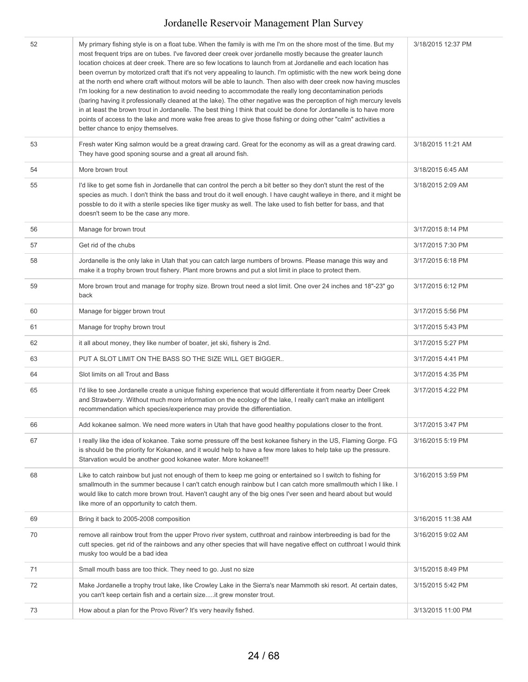| 52 | My primary fishing style is on a float tube. When the family is with me I'm on the shore most of the time. But my<br>most frequent trips are on tubes. I've favored deer creek over jordanelle mostly because the greater launch<br>location choices at deer creek. There are so few locations to launch from at Jordanelle and each location has<br>been overrun by motorized craft that it's not very appealing to launch. I'm optimistic with the new work being done<br>at the north end where craft without motors will be able to launch. Then also with deer creek now having muscles<br>I'm looking for a new destination to avoid needing to accommodate the really long decontamination periods<br>(baring having it professionally cleaned at the lake). The other negative was the perception of high mercury levels<br>in at least the brown trout in Jordanelle. The best thing I think that could be done for Jordanelle is to have more<br>points of access to the lake and more wake free areas to give those fishing or doing other "calm" activities a<br>better chance to enjoy themselves. | 3/18/2015 12:37 PM |
|----|-----------------------------------------------------------------------------------------------------------------------------------------------------------------------------------------------------------------------------------------------------------------------------------------------------------------------------------------------------------------------------------------------------------------------------------------------------------------------------------------------------------------------------------------------------------------------------------------------------------------------------------------------------------------------------------------------------------------------------------------------------------------------------------------------------------------------------------------------------------------------------------------------------------------------------------------------------------------------------------------------------------------------------------------------------------------------------------------------------------------|--------------------|
| 53 | Fresh water King salmon would be a great drawing card. Great for the economy as will as a great drawing card.<br>They have good sponing sourse and a great all around fish.                                                                                                                                                                                                                                                                                                                                                                                                                                                                                                                                                                                                                                                                                                                                                                                                                                                                                                                                     | 3/18/2015 11:21 AM |
| 54 | More brown trout                                                                                                                                                                                                                                                                                                                                                                                                                                                                                                                                                                                                                                                                                                                                                                                                                                                                                                                                                                                                                                                                                                | 3/18/2015 6:45 AM  |
| 55 | I'd like to get some fish in Jordanelle that can control the perch a bit better so they don't stunt the rest of the<br>species as much. I don't think the bass and trout do it well enough. I have caught walleye in there, and it might be<br>possble to do it with a sterile species like tiger musky as well. The lake used to fish better for bass, and that<br>doesn't seem to be the case any more.                                                                                                                                                                                                                                                                                                                                                                                                                                                                                                                                                                                                                                                                                                       | 3/18/2015 2:09 AM  |
| 56 | Manage for brown trout                                                                                                                                                                                                                                                                                                                                                                                                                                                                                                                                                                                                                                                                                                                                                                                                                                                                                                                                                                                                                                                                                          | 3/17/2015 8:14 PM  |
| 57 | Get rid of the chubs                                                                                                                                                                                                                                                                                                                                                                                                                                                                                                                                                                                                                                                                                                                                                                                                                                                                                                                                                                                                                                                                                            | 3/17/2015 7:30 PM  |
| 58 | Jordanelle is the only lake in Utah that you can catch large numbers of browns. Please manage this way and<br>make it a trophy brown trout fishery. Plant more browns and put a slot limit in place to protect them.                                                                                                                                                                                                                                                                                                                                                                                                                                                                                                                                                                                                                                                                                                                                                                                                                                                                                            | 3/17/2015 6:18 PM  |
| 59 | More brown trout and manage for trophy size. Brown trout need a slot limit. One over 24 inches and 18"-23" go<br>back                                                                                                                                                                                                                                                                                                                                                                                                                                                                                                                                                                                                                                                                                                                                                                                                                                                                                                                                                                                           | 3/17/2015 6:12 PM  |
| 60 | Manage for bigger brown trout                                                                                                                                                                                                                                                                                                                                                                                                                                                                                                                                                                                                                                                                                                                                                                                                                                                                                                                                                                                                                                                                                   | 3/17/2015 5:56 PM  |
| 61 | Manage for trophy brown trout                                                                                                                                                                                                                                                                                                                                                                                                                                                                                                                                                                                                                                                                                                                                                                                                                                                                                                                                                                                                                                                                                   | 3/17/2015 5:43 PM  |
| 62 | it all about money, they like number of boater, jet ski, fishery is 2nd.                                                                                                                                                                                                                                                                                                                                                                                                                                                                                                                                                                                                                                                                                                                                                                                                                                                                                                                                                                                                                                        | 3/17/2015 5:27 PM  |
| 63 | PUT A SLOT LIMIT ON THE BASS SO THE SIZE WILL GET BIGGER                                                                                                                                                                                                                                                                                                                                                                                                                                                                                                                                                                                                                                                                                                                                                                                                                                                                                                                                                                                                                                                        | 3/17/2015 4:41 PM  |
| 64 | Slot limits on all Trout and Bass                                                                                                                                                                                                                                                                                                                                                                                                                                                                                                                                                                                                                                                                                                                                                                                                                                                                                                                                                                                                                                                                               | 3/17/2015 4:35 PM  |
| 65 | I'd like to see Jordanelle create a unique fishing experience that would differentiate it from nearby Deer Creek<br>and Strawberry. Without much more information on the ecology of the lake, I really can't make an intelligent<br>recommendation which species/experience may provide the differentiation.                                                                                                                                                                                                                                                                                                                                                                                                                                                                                                                                                                                                                                                                                                                                                                                                    | 3/17/2015 4:22 PM  |
| 66 | Add kokanee salmon. We need more waters in Utah that have good healthy populations closer to the front.                                                                                                                                                                                                                                                                                                                                                                                                                                                                                                                                                                                                                                                                                                                                                                                                                                                                                                                                                                                                         | 3/17/2015 3:47 PM  |
| 67 | I really like the idea of kokanee. Take some pressure off the best kokanee fishery in the US, Flaming Gorge. FG<br>is should be the priority for Kokanee, and it would help to have a few more lakes to help take up the pressure.<br>Starvation would be another good kokanee water. More kokanee!!!                                                                                                                                                                                                                                                                                                                                                                                                                                                                                                                                                                                                                                                                                                                                                                                                           | 3/16/2015 5:19 PM  |
| 68 | Like to catch rainbow but just not enough of them to keep me going or entertained so I switch to fishing for<br>smallmouth in the summer because I can't catch enough rainbow but I can catch more smallmouth which I like. I<br>would like to catch more brown trout. Haven't caught any of the big ones I'ver seen and heard about but would<br>like more of an opportunity to catch them.                                                                                                                                                                                                                                                                                                                                                                                                                                                                                                                                                                                                                                                                                                                    | 3/16/2015 3:59 PM  |
| 69 | Bring it back to 2005-2008 composition                                                                                                                                                                                                                                                                                                                                                                                                                                                                                                                                                                                                                                                                                                                                                                                                                                                                                                                                                                                                                                                                          | 3/16/2015 11:38 AM |
| 70 | remove all rainbow trout from the upper Provo river system, cutthroat and rainbow interbreeding is bad for the<br>cutt species. get rid of the rainbows and any other species that will have negative effect on cutthroat I would think<br>musky too would be a bad idea                                                                                                                                                                                                                                                                                                                                                                                                                                                                                                                                                                                                                                                                                                                                                                                                                                        | 3/16/2015 9:02 AM  |
| 71 | Small mouth bass are too thick. They need to go. Just no size                                                                                                                                                                                                                                                                                                                                                                                                                                                                                                                                                                                                                                                                                                                                                                                                                                                                                                                                                                                                                                                   | 3/15/2015 8:49 PM  |
| 72 | Make Jordanelle a trophy trout lake, like Crowley Lake in the Sierra's near Mammoth ski resort. At certain dates,<br>you can't keep certain fish and a certain sizeit grew monster trout.                                                                                                                                                                                                                                                                                                                                                                                                                                                                                                                                                                                                                                                                                                                                                                                                                                                                                                                       | 3/15/2015 5:42 PM  |
| 73 | How about a plan for the Provo River? It's very heavily fished.                                                                                                                                                                                                                                                                                                                                                                                                                                                                                                                                                                                                                                                                                                                                                                                                                                                                                                                                                                                                                                                 | 3/13/2015 11:00 PM |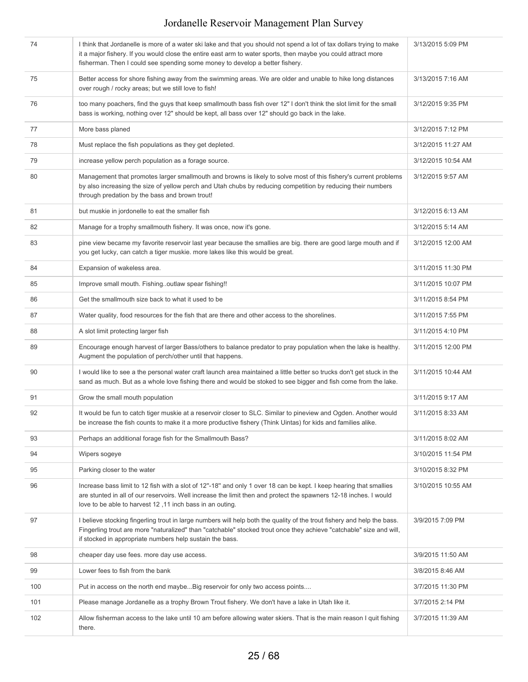| 74  | I think that Jordanelle is more of a water ski lake and that you should not spend a lot of tax dollars trying to make<br>it a major fishery. If you would close the entire east arm to water sports, then maybe you could attract more<br>fisherman. Then I could see spending some money to develop a better fishery. | 3/13/2015 5:09 PM  |
|-----|------------------------------------------------------------------------------------------------------------------------------------------------------------------------------------------------------------------------------------------------------------------------------------------------------------------------|--------------------|
| 75  | Better access for shore fishing away from the swimming areas. We are older and unable to hike long distances<br>over rough / rocky areas; but we still love to fish!                                                                                                                                                   | 3/13/2015 7:16 AM  |
| 76  | too many poachers, find the guys that keep smallmouth bass fish over 12" I don't think the slot limit for the small<br>bass is working, nothing over 12" should be kept, all bass over 12" should go back in the lake.                                                                                                 | 3/12/2015 9:35 PM  |
| 77  | More bass planed                                                                                                                                                                                                                                                                                                       | 3/12/2015 7:12 PM  |
| 78  | Must replace the fish populations as they get depleted.                                                                                                                                                                                                                                                                | 3/12/2015 11:27 AM |
| 79  | increase yellow perch population as a forage source.                                                                                                                                                                                                                                                                   | 3/12/2015 10:54 AM |
| 80  | Management that promotes larger smallmouth and browns is likely to solve most of this fishery's current problems<br>by also increasing the size of yellow perch and Utah chubs by reducing competition by reducing their numbers<br>through predation by the bass and brown trout!                                     | 3/12/2015 9:57 AM  |
| 81  | but muskie in jordonelle to eat the smaller fish                                                                                                                                                                                                                                                                       | 3/12/2015 6:13 AM  |
| 82  | Manage for a trophy smallmouth fishery. It was once, now it's gone.                                                                                                                                                                                                                                                    | 3/12/2015 5:14 AM  |
| 83  | pine view became my favorite reservoir last year because the smallies are big. there are good large mouth and if<br>you get lucky, can catch a tiger muskie. more lakes like this would be great.                                                                                                                      | 3/12/2015 12:00 AM |
| 84  | Expansion of wakeless area.                                                                                                                                                                                                                                                                                            | 3/11/2015 11:30 PM |
| 85  | Improve small mouth. Fishingoutlaw spear fishing!!                                                                                                                                                                                                                                                                     | 3/11/2015 10:07 PM |
| 86  | Get the smallmouth size back to what it used to be                                                                                                                                                                                                                                                                     | 3/11/2015 8:54 PM  |
| 87  | Water quality, food resources for the fish that are there and other access to the shorelines.                                                                                                                                                                                                                          | 3/11/2015 7:55 PM  |
| 88  | A slot limit protecting larger fish                                                                                                                                                                                                                                                                                    | 3/11/2015 4:10 PM  |
| 89  | Encourage enough harvest of larger Bass/others to balance predator to pray population when the lake is healthy.<br>Augment the population of perch/other until that happens.                                                                                                                                           | 3/11/2015 12:00 PM |
| 90  | I would like to see a the personal water craft launch area maintained a little better so trucks don't get stuck in the<br>sand as much. But as a whole love fishing there and would be stoked to see bigger and fish come from the lake.                                                                               | 3/11/2015 10:44 AM |
| 91  | Grow the small mouth population                                                                                                                                                                                                                                                                                        | 3/11/2015 9:17 AM  |
| 92  | It would be fun to catch tiger muskie at a reservoir closer to SLC. Similar to pineview and Ogden. Another would<br>be increase the fish counts to make it a more productive fishery (Think Uintas) for kids and families alike.                                                                                       | 3/11/2015 8:33 AM  |
| 93  | Perhaps an additional forage fish for the Smallmouth Bass?                                                                                                                                                                                                                                                             | 3/11/2015 8:02 AM  |
| 94  | Wipers sogeye                                                                                                                                                                                                                                                                                                          | 3/10/2015 11:54 PM |
| 95  | Parking closer to the water                                                                                                                                                                                                                                                                                            | 3/10/2015 8:32 PM  |
| 96  | Increase bass limit to 12 fish with a slot of 12"-18" and only 1 over 18 can be kept. I keep hearing that smallies<br>are stunted in all of our reservoirs. Well increase the limit then and protect the spawners 12-18 inches. I would<br>love to be able to harvest 12,11 inch bass in an outing.                    | 3/10/2015 10:55 AM |
| 97  | I believe stocking fingerling trout in large numbers will help both the quality of the trout fishery and help the bass.<br>Fingerling trout are more "naturalized" than "catchable" stocked trout once they achieve "catchable" size and will,<br>if stocked in appropriate numbers help sustain the bass.             | 3/9/2015 7:09 PM   |
| 98  | cheaper day use fees. more day use access.                                                                                                                                                                                                                                                                             | 3/9/2015 11:50 AM  |
| 99  | Lower fees to fish from the bank                                                                                                                                                                                                                                                                                       | 3/8/2015 8:46 AM   |
| 100 | Put in access on the north end maybeBig reservoir for only two access points                                                                                                                                                                                                                                           | 3/7/2015 11:30 PM  |
| 101 | Please manage Jordanelle as a trophy Brown Trout fishery. We don't have a lake in Utah like it.                                                                                                                                                                                                                        | 3/7/2015 2:14 PM   |
| 102 | Allow fisherman access to the lake until 10 am before allowing water skiers. That is the main reason I quit fishing<br>there.                                                                                                                                                                                          | 3/7/2015 11:39 AM  |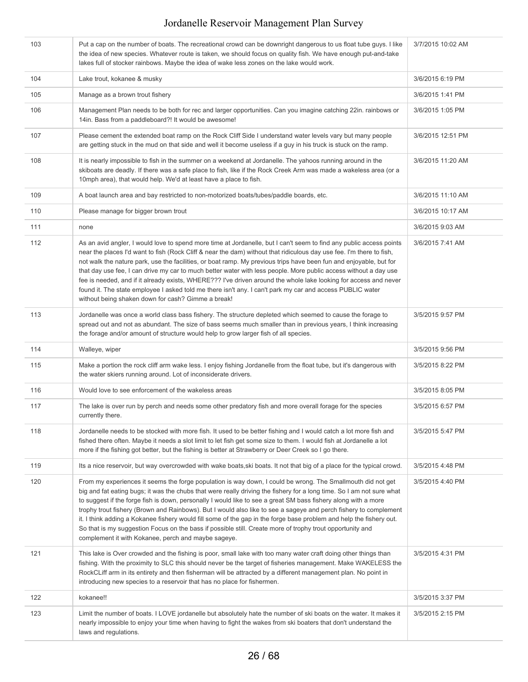| 103 | Put a cap on the number of boats. The recreational crowd can be downright dangerous to us float tube guys. I like<br>the idea of new species. Whatever route is taken, we should focus on quality fish. We have enough put-and-take<br>lakes full of stocker rainbows. Maybe the idea of wake less zones on the lake would work.                                                                                                                                                                                                                                                                                                                                                                                                                                             | 3/7/2015 10:02 AM |
|-----|------------------------------------------------------------------------------------------------------------------------------------------------------------------------------------------------------------------------------------------------------------------------------------------------------------------------------------------------------------------------------------------------------------------------------------------------------------------------------------------------------------------------------------------------------------------------------------------------------------------------------------------------------------------------------------------------------------------------------------------------------------------------------|-------------------|
| 104 | Lake trout, kokanee & musky                                                                                                                                                                                                                                                                                                                                                                                                                                                                                                                                                                                                                                                                                                                                                  | 3/6/2015 6:19 PM  |
| 105 | Manage as a brown trout fishery                                                                                                                                                                                                                                                                                                                                                                                                                                                                                                                                                                                                                                                                                                                                              | 3/6/2015 1:41 PM  |
| 106 | Management Plan needs to be both for rec and larger opportunities. Can you imagine catching 22in. rainbows or<br>14in. Bass from a paddleboard?! It would be awesome!                                                                                                                                                                                                                                                                                                                                                                                                                                                                                                                                                                                                        | 3/6/2015 1:05 PM  |
| 107 | Please cement the extended boat ramp on the Rock Cliff Side I understand water levels vary but many people<br>are getting stuck in the mud on that side and well it become useless if a guy in his truck is stuck on the ramp.                                                                                                                                                                                                                                                                                                                                                                                                                                                                                                                                               | 3/6/2015 12:51 PM |
| 108 | It is nearly impossible to fish in the summer on a weekend at Jordanelle. The yahoos running around in the<br>skiboats are deadly. If there was a safe place to fish, like if the Rock Creek Arm was made a wakeless area (or a<br>10mph area), that would help. We'd at least have a place to fish.                                                                                                                                                                                                                                                                                                                                                                                                                                                                         | 3/6/2015 11:20 AM |
| 109 | A boat launch area and bay restricted to non-motorized boats/tubes/paddle boards, etc.                                                                                                                                                                                                                                                                                                                                                                                                                                                                                                                                                                                                                                                                                       | 3/6/2015 11:10 AM |
| 110 | Please manage for bigger brown trout                                                                                                                                                                                                                                                                                                                                                                                                                                                                                                                                                                                                                                                                                                                                         | 3/6/2015 10:17 AM |
| 111 | none                                                                                                                                                                                                                                                                                                                                                                                                                                                                                                                                                                                                                                                                                                                                                                         | 3/6/2015 9:03 AM  |
| 112 | As an avid angler, I would love to spend more time at Jordanelle, but I can't seem to find any public access points<br>near the places I'd want to fish (Rock Cliff & near the dam) without that ridiculous day use fee. I'm there to fish,<br>not walk the nature park, use the facilities, or boat ramp. My previous trips have been fun and enjoyable, but for<br>that day use fee, I can drive my car to much better water with less people. More public access without a day use<br>fee is needed, and if it already exists, WHERE??? I've driven around the whole lake looking for access and never<br>found it. The state employee I asked told me there isn't any. I can't park my car and access PUBLIC water<br>without being shaken down for cash? Gimme a break! | 3/6/2015 7:41 AM  |
| 113 | Jordanelle was once a world class bass fishery. The structure depleted which seemed to cause the forage to<br>spread out and not as abundant. The size of bass seems much smaller than in previous years, I think increasing<br>the forage and/or amount of structure would help to grow larger fish of all species.                                                                                                                                                                                                                                                                                                                                                                                                                                                         | 3/5/2015 9:57 PM  |
| 114 | Walleye, wiper                                                                                                                                                                                                                                                                                                                                                                                                                                                                                                                                                                                                                                                                                                                                                               | 3/5/2015 9:56 PM  |
| 115 | Make a portion the rock cliff arm wake less. I enjoy fishing Jordanelle from the float tube, but it's dangerous with<br>the water skiers running around. Lot of inconsiderate drivers.                                                                                                                                                                                                                                                                                                                                                                                                                                                                                                                                                                                       | 3/5/2015 8:22 PM  |
| 116 | Would love to see enforcement of the wakeless areas                                                                                                                                                                                                                                                                                                                                                                                                                                                                                                                                                                                                                                                                                                                          | 3/5/2015 8:05 PM  |
| 117 | The lake is over run by perch and needs some other predatory fish and more overall forage for the species<br>currently there.                                                                                                                                                                                                                                                                                                                                                                                                                                                                                                                                                                                                                                                | 3/5/2015 6:57 PM  |
| 118 | Jordanelle needs to be stocked with more fish. It used to be better fishing and I would catch a lot more fish and<br>fished there often. Maybe it needs a slot limit to let fish get some size to them. I would fish at Jordanelle a lot<br>more if the fishing got better, but the fishing is better at Strawberry or Deer Creek so I go there.                                                                                                                                                                                                                                                                                                                                                                                                                             | 3/5/2015 5:47 PM  |
| 119 | Its a nice reservoir, but way overcrowded with wake boats, ski boats. It not that big of a place for the typical crowd.                                                                                                                                                                                                                                                                                                                                                                                                                                                                                                                                                                                                                                                      | 3/5/2015 4:48 PM  |
| 120 | From my experiences it seems the forge population is way down, I could be wrong. The Smallmouth did not get<br>big and fat eating bugs; it was the chubs that were really driving the fishery for a long time. So I am not sure what<br>to suggest if the forge fish is down, personally I would like to see a great SM bass fishery along with a more<br>trophy trout fishery (Brown and Rainbows). But I would also like to see a sageye and perch fishery to complement<br>it. I think adding a Kokanee fishery would fill some of the gap in the forge base problem and help the fishery out.<br>So that is my suggestion Focus on the bass if possible still. Create more of trophy trout opportunity and<br>complement it with Kokanee, perch and maybe sageye.        | 3/5/2015 4:40 PM  |
| 121 | This lake is Over crowded and the fishing is poor, small lake with too many water craft doing other things than<br>fishing. With the proximity to SLC this should never be the target of fisheries management. Make WAKELESS the<br>RockCLiff arm in its entirety and then fisherman will be attracted by a different management plan. No point in<br>introducing new species to a reservoir that has no place for fishermen.                                                                                                                                                                                                                                                                                                                                                | 3/5/2015 4:31 PM  |
| 122 | kokanee!!                                                                                                                                                                                                                                                                                                                                                                                                                                                                                                                                                                                                                                                                                                                                                                    | 3/5/2015 3:37 PM  |
| 123 | Limit the number of boats. I LOVE jordanelle but absolutely hate the number of ski boats on the water. It makes it<br>nearly impossible to enjoy your time when having to fight the wakes from ski boaters that don't understand the<br>laws and regulations.                                                                                                                                                                                                                                                                                                                                                                                                                                                                                                                | 3/5/2015 2:15 PM  |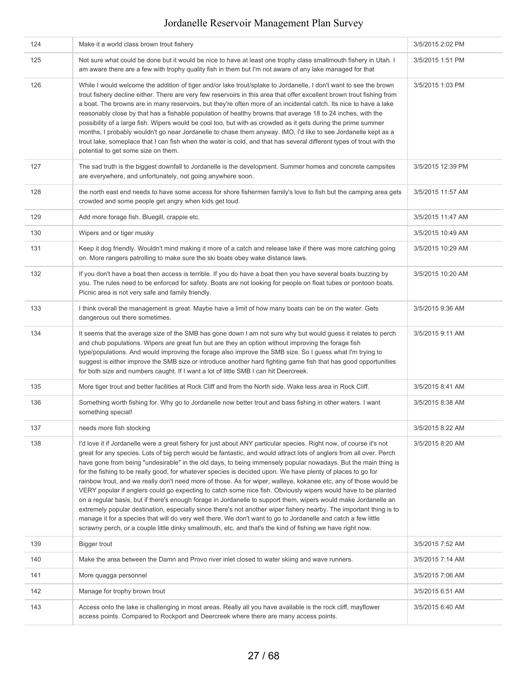| 124 | Make it a world class brown trout fishery                                                                                                                                                                                                                                                                                                                                                                                                                                                                                                                                                                                                                                                                                                                                                                                                                                                                                                                                                                                                                                                                                                                                                  | 3/5/2015 2:02 PM  |
|-----|--------------------------------------------------------------------------------------------------------------------------------------------------------------------------------------------------------------------------------------------------------------------------------------------------------------------------------------------------------------------------------------------------------------------------------------------------------------------------------------------------------------------------------------------------------------------------------------------------------------------------------------------------------------------------------------------------------------------------------------------------------------------------------------------------------------------------------------------------------------------------------------------------------------------------------------------------------------------------------------------------------------------------------------------------------------------------------------------------------------------------------------------------------------------------------------------|-------------------|
| 125 | Not sure what could be done but it would be nice to have at least one trophy class smallmouth fishery in Utah. I<br>am aware there are a few with trophy quality fish in them but I'm not aware of any lake managed for that                                                                                                                                                                                                                                                                                                                                                                                                                                                                                                                                                                                                                                                                                                                                                                                                                                                                                                                                                               | 3/5/2015 1:51 PM  |
| 126 | While I would welcome the addition of tiger and/or lake trout/splake to Jordanelle, I don't want to see the brown<br>trout fishery decline either. There are very few reservoirs in this area that offer excellent brown trout fishing from<br>a boat. The browns are in many reservoirs, but they're often more of an incidental catch. Its nice to have a lake<br>reasonably close by that has a fishable population of healthy browns that average 18 to 24 inches, with the<br>possibility of a large fish. Wipers would be cool too, but with as crowded as it gets during the prime summer<br>months, I probably wouldn't go near Jordanelle to chase them anyway. IMO, I'd like to see Jordanelle kept as a<br>trout lake, someplace that I can fish when the water is cold, and that has several different types of trout with the<br>potential to get some size on them.                                                                                                                                                                                                                                                                                                          | 3/5/2015 1:03 PM  |
| 127 | The sad truth is the biggest downfall to Jordanelle is the development. Summer homes and concrete campsites<br>are everywhere, and unfortunately, not going anywhere soon.                                                                                                                                                                                                                                                                                                                                                                                                                                                                                                                                                                                                                                                                                                                                                                                                                                                                                                                                                                                                                 | 3/5/2015 12:39 PM |
| 128 | the north east end needs to have some access for shore fishermen family's love to fish but the camping area gets<br>crowded and some people get angry when kids get loud.                                                                                                                                                                                                                                                                                                                                                                                                                                                                                                                                                                                                                                                                                                                                                                                                                                                                                                                                                                                                                  | 3/5/2015 11:57 AM |
| 129 | Add more forage fish. Bluegill, crappie etc.                                                                                                                                                                                                                                                                                                                                                                                                                                                                                                                                                                                                                                                                                                                                                                                                                                                                                                                                                                                                                                                                                                                                               | 3/5/2015 11:47 AM |
| 130 | Wipers and or tiger musky                                                                                                                                                                                                                                                                                                                                                                                                                                                                                                                                                                                                                                                                                                                                                                                                                                                                                                                                                                                                                                                                                                                                                                  | 3/5/2015 10:49 AM |
| 131 | Keep it dog friendly. Wouldn't mind making it more of a catch and release lake if there was more catching going<br>on. More rangers patrolling to make sure the ski boats obey wake distance laws.                                                                                                                                                                                                                                                                                                                                                                                                                                                                                                                                                                                                                                                                                                                                                                                                                                                                                                                                                                                         | 3/5/2015 10:29 AM |
| 132 | If you don't have a boat then access is terrible. If you do have a boat then you have several boats buzzing by<br>you. The rules need to be enforced for safety. Boats are not looking for people on float tubes or pontoon boats.<br>Picnic area is not very safe and family friendly.                                                                                                                                                                                                                                                                                                                                                                                                                                                                                                                                                                                                                                                                                                                                                                                                                                                                                                    | 3/5/2015 10:20 AM |
| 133 | I think overall the management is great. Maybe have a limit of how many boats can be on the water. Gets<br>dangerous out there sometimes.                                                                                                                                                                                                                                                                                                                                                                                                                                                                                                                                                                                                                                                                                                                                                                                                                                                                                                                                                                                                                                                  | 3/5/2015 9:36 AM  |
| 134 | It seems that the average size of the SMB has gone down I am not sure why but would guess it relates to perch<br>and chub populations. Wipers are great fun but are they an option without improving the forage fish<br>type/populations. And would improving the forage also improve the SMB size. So I guess what I'm trying to<br>suggest is either improve the SMB size or introduce another hard fighting game fish that has good opportunities<br>for both size and numbers caught. If I want a lot of little SMB I can hit Deercreek.                                                                                                                                                                                                                                                                                                                                                                                                                                                                                                                                                                                                                                               | 3/5/2015 9:11 AM  |
| 135 | More tiger trout and better facilities at Rock Cliff and from the North side. Wake less area in Rock Cliff.                                                                                                                                                                                                                                                                                                                                                                                                                                                                                                                                                                                                                                                                                                                                                                                                                                                                                                                                                                                                                                                                                | 3/5/2015 8:41 AM  |
| 136 | Something worth fishing for. Why go to Jordanelle now better trout and bass fishing in other waters. I want<br>something special!                                                                                                                                                                                                                                                                                                                                                                                                                                                                                                                                                                                                                                                                                                                                                                                                                                                                                                                                                                                                                                                          | 3/5/2015 8:38 AM  |
| 137 | needs more fish stocking                                                                                                                                                                                                                                                                                                                                                                                                                                                                                                                                                                                                                                                                                                                                                                                                                                                                                                                                                                                                                                                                                                                                                                   | 3/5/2015 8:22 AM  |
| 138 | I'd love it if Jordanelle were a great fishery for just about ANY particular species. Right now, of course it's not<br>great for any species. Lots of big perch would be fantastic, and would attract lots of anglers from all over. Perch<br>have gone from being "undesirable" in the old days, to being immensely popular nowadays. But the main thing is<br>for the fishing to be really good, for whatever species is decided upon. We have plenty of places to go for<br>rainbow trout, and we really don't need more of those. As for wiper, walleye, kokanee etc, any of those would be<br>VERY popular if anglers could go expecting to catch some nice fish. Obviously wipers would have to be planted<br>on a regular basis, but if there's enough forage in Jordanelle to support them, wipers would make Jordanelle an<br>extremely popular destination, especially since there's not another wiper fishery nearby. The important thing is to<br>manage it for a species that will do very well there. We don't want to go to Jordanelle and catch a few little<br>scrawny perch, or a couple little dinky smallmouth, etc, and that's the kind of fishing we have right now. | 3/5/2015 8:20 AM  |
| 139 | Bigger trout                                                                                                                                                                                                                                                                                                                                                                                                                                                                                                                                                                                                                                                                                                                                                                                                                                                                                                                                                                                                                                                                                                                                                                               | 3/5/2015 7:52 AM  |
| 140 | Make the area between the Damn and Provo river inlet closed to water skiing and wave runners.                                                                                                                                                                                                                                                                                                                                                                                                                                                                                                                                                                                                                                                                                                                                                                                                                                                                                                                                                                                                                                                                                              | 3/5/2015 7:14 AM  |
| 141 | More quagga personnel                                                                                                                                                                                                                                                                                                                                                                                                                                                                                                                                                                                                                                                                                                                                                                                                                                                                                                                                                                                                                                                                                                                                                                      | 3/5/2015 7:06 AM  |
| 142 | Manage for trophy brown trout                                                                                                                                                                                                                                                                                                                                                                                                                                                                                                                                                                                                                                                                                                                                                                                                                                                                                                                                                                                                                                                                                                                                                              | 3/5/2015 6:51 AM  |
| 143 | Access onto the lake is challenging in most areas. Really all you have available is the rock cliff, mayflower<br>access points. Compared to Rockport and Deercreek where there are many access points.                                                                                                                                                                                                                                                                                                                                                                                                                                                                                                                                                                                                                                                                                                                                                                                                                                                                                                                                                                                     | 3/5/2015 6:40 AM  |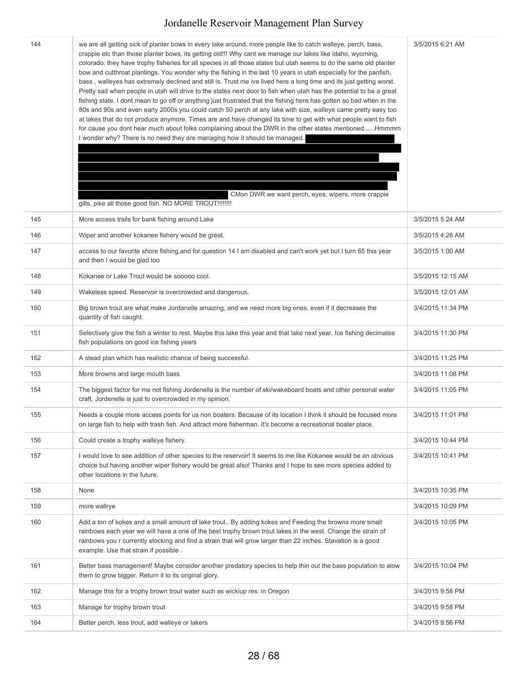| 144 | we are all getting sick of planter bows in every lake around, more people like to catch walleye, perch, bass,<br>crappie etc than those planter bows, its getting old!!! Why cant we manage our lakes like idaho, wyoming,<br>colorado. they have trophy fisheries for all species in all those states but utah seems to do the same old planter<br>bow and cutthroat plantings. You wonder why the fishing in the last 10 years in utah especially for the panfish,<br>bass, walleyes has extremely declined and still is. Trust me ive lived here a long time and its just getting worst.<br>Pretty sad when people in utah will drive to the states next door to fish when utah has the potential to be a great<br>fishing state. I dont mean to go off or anything just frustrated that the fishing here has gotten so bad when in the<br>80s and 90s and even early 2000s you could catch 50 perch at any lake with size, walleye came pretty easy too<br>at lakes that do not produce anymore. Times are and have changed its time to get with what people want to fish<br>for cause you dont hear much about folks complaining about the DWR in the other states mentionedHmmmm<br>I wonder why? There is no need they are managing how it should be managed.<br>CMon DWR we want perch, eyes, wipers, more crappie<br>gills, pike all those good fish. NO MORE TROUT!!!!!!!! | 3/5/2015 6:21 AM  |
|-----|--------------------------------------------------------------------------------------------------------------------------------------------------------------------------------------------------------------------------------------------------------------------------------------------------------------------------------------------------------------------------------------------------------------------------------------------------------------------------------------------------------------------------------------------------------------------------------------------------------------------------------------------------------------------------------------------------------------------------------------------------------------------------------------------------------------------------------------------------------------------------------------------------------------------------------------------------------------------------------------------------------------------------------------------------------------------------------------------------------------------------------------------------------------------------------------------------------------------------------------------------------------------------------------------------------------------------------------------------------------------------------------|-------------------|
| 145 | More access trails for bank fishing around Lake                                                                                                                                                                                                                                                                                                                                                                                                                                                                                                                                                                                                                                                                                                                                                                                                                                                                                                                                                                                                                                                                                                                                                                                                                                                                                                                                      | 3/5/2015 5:24 AM  |
| 146 | Wiper and another kokanee fishery would be great.                                                                                                                                                                                                                                                                                                                                                                                                                                                                                                                                                                                                                                                                                                                                                                                                                                                                                                                                                                                                                                                                                                                                                                                                                                                                                                                                    | 3/5/2015 4:26 AM  |
| 147 | access to our favorite shore fishing, and for question 14 I am disabled and can't work yet but I turn 65 this year<br>and then I would be glad too                                                                                                                                                                                                                                                                                                                                                                                                                                                                                                                                                                                                                                                                                                                                                                                                                                                                                                                                                                                                                                                                                                                                                                                                                                   | 3/5/2015 1:00 AM  |
| 148 | Kokanee or Lake Trout would be sooooo cool.                                                                                                                                                                                                                                                                                                                                                                                                                                                                                                                                                                                                                                                                                                                                                                                                                                                                                                                                                                                                                                                                                                                                                                                                                                                                                                                                          | 3/5/2015 12:15 AM |
| 149 | Wakeless speed. Reservoir is overcrowded and dangerous.                                                                                                                                                                                                                                                                                                                                                                                                                                                                                                                                                                                                                                                                                                                                                                                                                                                                                                                                                                                                                                                                                                                                                                                                                                                                                                                              | 3/5/2015 12:01 AM |
| 150 | Big brown trout are what make Jordanelle amazing, and we need more big ones, even if it decreases the<br>quantity of fish caught.                                                                                                                                                                                                                                                                                                                                                                                                                                                                                                                                                                                                                                                                                                                                                                                                                                                                                                                                                                                                                                                                                                                                                                                                                                                    | 3/4/2015 11:34 PM |
| 151 | Selectively give the fish a winter to rest. Maybe this lake this year and that lake next year. Ice fishing decimates<br>fish populations on good ice fishing years                                                                                                                                                                                                                                                                                                                                                                                                                                                                                                                                                                                                                                                                                                                                                                                                                                                                                                                                                                                                                                                                                                                                                                                                                   | 3/4/2015 11:30 PM |
| 152 | A stead plan which has realistic chance of being successful.                                                                                                                                                                                                                                                                                                                                                                                                                                                                                                                                                                                                                                                                                                                                                                                                                                                                                                                                                                                                                                                                                                                                                                                                                                                                                                                         | 3/4/2015 11:25 PM |
| 153 | More browns and large mouth bass                                                                                                                                                                                                                                                                                                                                                                                                                                                                                                                                                                                                                                                                                                                                                                                                                                                                                                                                                                                                                                                                                                                                                                                                                                                                                                                                                     | 3/4/2015 11:08 PM |
| 154 | The biggest factor for me not fishing Jordenella is the number of ski/wakeboard boats and other personal water<br>craft. Jordenelle is just to overcrowded in my opinion.                                                                                                                                                                                                                                                                                                                                                                                                                                                                                                                                                                                                                                                                                                                                                                                                                                                                                                                                                                                                                                                                                                                                                                                                            | 3/4/2015 11:05 PM |
| 155 | Needs a couple more access points for us non boaters. Because of its location I think it should be focused more<br>on large fish to help with trash fish. And attract more fisherman. It's become a recreational boater place.                                                                                                                                                                                                                                                                                                                                                                                                                                                                                                                                                                                                                                                                                                                                                                                                                                                                                                                                                                                                                                                                                                                                                       | 3/4/2015 11:01 PM |
| 156 | Could create a trophy walleye fishery.                                                                                                                                                                                                                                                                                                                                                                                                                                                                                                                                                                                                                                                                                                                                                                                                                                                                                                                                                                                                                                                                                                                                                                                                                                                                                                                                               | 3/4/2015 10:44 PM |
| 157 | I would love to see addition of other species to the reservoir! It seems to me like Kokanee would be an obvious<br>choice but having another wiper fishery would be great also! Thanks and I hope to see more species added to<br>other locations in the future.                                                                                                                                                                                                                                                                                                                                                                                                                                                                                                                                                                                                                                                                                                                                                                                                                                                                                                                                                                                                                                                                                                                     | 3/4/2015 10:41 PM |
| 158 | None                                                                                                                                                                                                                                                                                                                                                                                                                                                                                                                                                                                                                                                                                                                                                                                                                                                                                                                                                                                                                                                                                                                                                                                                                                                                                                                                                                                 | 3/4/2015 10:35 PM |
| 159 | more wallrye                                                                                                                                                                                                                                                                                                                                                                                                                                                                                                                                                                                                                                                                                                                                                                                                                                                                                                                                                                                                                                                                                                                                                                                                                                                                                                                                                                         | 3/4/2015 10:09 PM |
| 160 | Add a ton of kokes and a small amount of lake trout By adding kokes and Feeding the browns more small<br>rainbows each year we will have a one of the best trophy brown trout lakes in the west. Change the strain of<br>rainbows you r currently stocking and find a strain that will grow larger than 22 inches. Stavation is a good<br>example. Use that strain if possible.                                                                                                                                                                                                                                                                                                                                                                                                                                                                                                                                                                                                                                                                                                                                                                                                                                                                                                                                                                                                      | 3/4/2015 10:05 PM |
| 161 | Better bass management! Maybe consider another predatory species to help thin out the bass population to alow<br>them to grow bigger. Return it to its original glory.                                                                                                                                                                                                                                                                                                                                                                                                                                                                                                                                                                                                                                                                                                                                                                                                                                                                                                                                                                                                                                                                                                                                                                                                               | 3/4/2015 10:04 PM |
| 162 | Manage this for a trophy brown trout water such as wickiup res. in Oregon                                                                                                                                                                                                                                                                                                                                                                                                                                                                                                                                                                                                                                                                                                                                                                                                                                                                                                                                                                                                                                                                                                                                                                                                                                                                                                            | 3/4/2015 9:58 PM  |
| 163 | Manage for trophy brown trout                                                                                                                                                                                                                                                                                                                                                                                                                                                                                                                                                                                                                                                                                                                                                                                                                                                                                                                                                                                                                                                                                                                                                                                                                                                                                                                                                        | 3/4/2015 9:58 PM  |
| 164 | Better perch, less trout, add walleye or lakers                                                                                                                                                                                                                                                                                                                                                                                                                                                                                                                                                                                                                                                                                                                                                                                                                                                                                                                                                                                                                                                                                                                                                                                                                                                                                                                                      | 3/4/2015 9:56 PM  |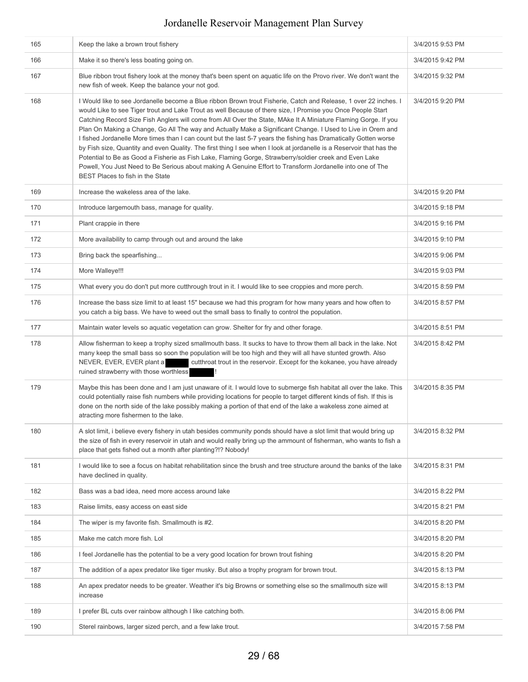| 165 | Keep the lake a brown trout fishery                                                                                                                                                                                                                                                                                                                                                                                                                                                                                                                                                                                                                                                                                                                                                                                                                                                                                                                                    | 3/4/2015 9:53 PM |
|-----|------------------------------------------------------------------------------------------------------------------------------------------------------------------------------------------------------------------------------------------------------------------------------------------------------------------------------------------------------------------------------------------------------------------------------------------------------------------------------------------------------------------------------------------------------------------------------------------------------------------------------------------------------------------------------------------------------------------------------------------------------------------------------------------------------------------------------------------------------------------------------------------------------------------------------------------------------------------------|------------------|
| 166 | Make it so there's less boating going on.                                                                                                                                                                                                                                                                                                                                                                                                                                                                                                                                                                                                                                                                                                                                                                                                                                                                                                                              | 3/4/2015 9:42 PM |
| 167 | Blue ribbon trout fishery look at the money that's been spent on aquatic life on the Provo river. We don't want the<br>new fish of week. Keep the balance your not god.                                                                                                                                                                                                                                                                                                                                                                                                                                                                                                                                                                                                                                                                                                                                                                                                | 3/4/2015 9:32 PM |
| 168 | I Would like to see Jordanelle become a Blue ribbon Brown trout Fisherie, Catch and Release, 1 over 22 inches. I<br>would Like to see Tiger trout and Lake Trout as well Because of there size, I Promise you Once People Start<br>Catching Record Size Fish Anglers will come from All Over the State, MAke It A Miniature Flaming Gorge. If you<br>Plan On Making a Change, Go All The way and Actually Make a Significant Change. I Used to Live in Orem and<br>I fished Jordanelle More times than I can count but the last 5-7 years the fishing has Dramatically Gotten worse<br>by Fish size, Quantity and even Quality. The first thing I see when I look at jordanelle is a Reservoir that has the<br>Potential to Be as Good a Fisherie as Fish Lake, Flaming Gorge, Strawberry/soldier creek and Even Lake<br>Powell, You Just Need to Be Serious about making A Genuine Effort to Transform Jordanelle into one of The<br>BEST Places to fish in the State | 3/4/2015 9:20 PM |
| 169 | Increase the wakeless area of the lake.                                                                                                                                                                                                                                                                                                                                                                                                                                                                                                                                                                                                                                                                                                                                                                                                                                                                                                                                | 3/4/2015 9:20 PM |
| 170 | Introduce largemouth bass, manage for quality.                                                                                                                                                                                                                                                                                                                                                                                                                                                                                                                                                                                                                                                                                                                                                                                                                                                                                                                         | 3/4/2015 9:18 PM |
| 171 | Plant crappie in there                                                                                                                                                                                                                                                                                                                                                                                                                                                                                                                                                                                                                                                                                                                                                                                                                                                                                                                                                 | 3/4/2015 9:16 PM |
| 172 | More availability to camp through out and around the lake                                                                                                                                                                                                                                                                                                                                                                                                                                                                                                                                                                                                                                                                                                                                                                                                                                                                                                              | 3/4/2015 9:10 PM |
| 173 | Bring back the spearfishing                                                                                                                                                                                                                                                                                                                                                                                                                                                                                                                                                                                                                                                                                                                                                                                                                                                                                                                                            | 3/4/2015 9:06 PM |
| 174 | More Walleye!!!                                                                                                                                                                                                                                                                                                                                                                                                                                                                                                                                                                                                                                                                                                                                                                                                                                                                                                                                                        | 3/4/2015 9:03 PM |
| 175 | What every you do don't put more cutthrough trout in it. I would like to see croppies and more perch.                                                                                                                                                                                                                                                                                                                                                                                                                                                                                                                                                                                                                                                                                                                                                                                                                                                                  | 3/4/2015 8:59 PM |
| 176 | Increase the bass size limit to at least 15" because we had this program for how many years and how often to<br>you catch a big bass. We have to weed out the small bass to finally to control the population.                                                                                                                                                                                                                                                                                                                                                                                                                                                                                                                                                                                                                                                                                                                                                         | 3/4/2015 8:57 PM |
| 177 | Maintain water levels so aquatic vegetation can grow. Shelter for fry and other forage.                                                                                                                                                                                                                                                                                                                                                                                                                                                                                                                                                                                                                                                                                                                                                                                                                                                                                | 3/4/2015 8:51 PM |
| 178 | Allow fisherman to keep a trophy sized smallmouth bass. It sucks to have to throw them all back in the lake. Not<br>many keep the small bass so soon the population will be too high and they will all have stunted growth. Also<br>NEVER, EVER, EVER plant a<br>cutthroat trout in the reservoir. Except for the kokanee, you have already<br>ruined strawberry with those worthless                                                                                                                                                                                                                                                                                                                                                                                                                                                                                                                                                                                  | 3/4/2015 8:42 PM |
| 179 | Maybe this has been done and I am just unaware of it. I would love to submerge fish habitat all over the lake. This<br>could potentially raise fish numbers while providing locations for people to target different kinds of fish. If this is<br>done on the north side of the lake possibly making a portion of that end of the lake a wakeless zone aimed at<br>atracting more fishermen to the lake.                                                                                                                                                                                                                                                                                                                                                                                                                                                                                                                                                               | 3/4/2015 8:35 PM |
| 180 | A slot limit, i believe every fishery in utah besides community ponds should have a slot limit that would bring up<br>the size of fish in every reservoir in utah and would really bring up the ammount of fisherman, who wants to fish a<br>place that gets fished out a month after planting?!? Nobody!                                                                                                                                                                                                                                                                                                                                                                                                                                                                                                                                                                                                                                                              | 3/4/2015 8:32 PM |
| 181 | I would like to see a focus on habitat rehabilitation since the brush and tree structure around the banks of the lake<br>have declined in quality.                                                                                                                                                                                                                                                                                                                                                                                                                                                                                                                                                                                                                                                                                                                                                                                                                     | 3/4/2015 8:31 PM |
| 182 | Bass was a bad idea, need more access around lake                                                                                                                                                                                                                                                                                                                                                                                                                                                                                                                                                                                                                                                                                                                                                                                                                                                                                                                      | 3/4/2015 8:22 PM |
| 183 | Raise limits, easy access on east side                                                                                                                                                                                                                                                                                                                                                                                                                                                                                                                                                                                                                                                                                                                                                                                                                                                                                                                                 | 3/4/2015 8:21 PM |
| 184 | The wiper is my favorite fish. Smallmouth is #2.                                                                                                                                                                                                                                                                                                                                                                                                                                                                                                                                                                                                                                                                                                                                                                                                                                                                                                                       | 3/4/2015 8:20 PM |
| 185 | Make me catch more fish. Lol                                                                                                                                                                                                                                                                                                                                                                                                                                                                                                                                                                                                                                                                                                                                                                                                                                                                                                                                           | 3/4/2015 8:20 PM |
| 186 | I feel Jordanelle has the potential to be a very good location for brown trout fishing                                                                                                                                                                                                                                                                                                                                                                                                                                                                                                                                                                                                                                                                                                                                                                                                                                                                                 | 3/4/2015 8:20 PM |
| 187 | The addition of a apex predator like tiger musky. But also a trophy program for brown trout.                                                                                                                                                                                                                                                                                                                                                                                                                                                                                                                                                                                                                                                                                                                                                                                                                                                                           | 3/4/2015 8:13 PM |
| 188 | An apex predator needs to be greater. Weather it's big Browns or something else so the smallmouth size will<br>increase                                                                                                                                                                                                                                                                                                                                                                                                                                                                                                                                                                                                                                                                                                                                                                                                                                                | 3/4/2015 8:13 PM |
| 189 | I prefer BL cuts over rainbow although I like catching both.                                                                                                                                                                                                                                                                                                                                                                                                                                                                                                                                                                                                                                                                                                                                                                                                                                                                                                           | 3/4/2015 8:06 PM |
| 190 | Sterel rainbows, larger sized perch, and a few lake trout.                                                                                                                                                                                                                                                                                                                                                                                                                                                                                                                                                                                                                                                                                                                                                                                                                                                                                                             | 3/4/2015 7:58 PM |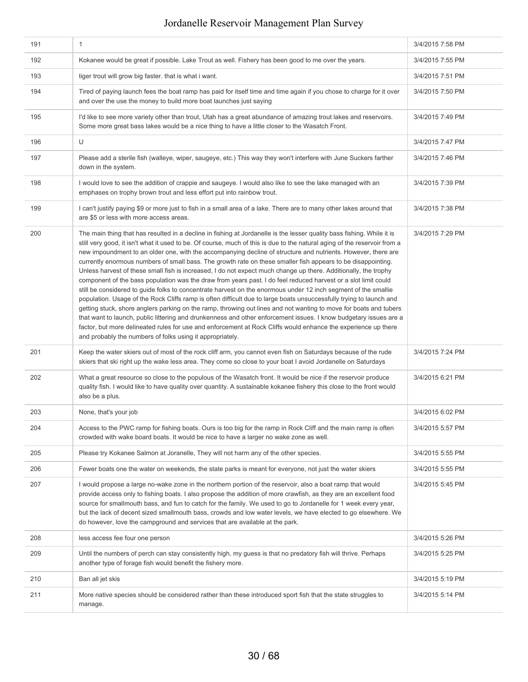| 191 | $\mathbf{1}$                                                                                                                                                                                                                                                                                                                                                                                                                                                                                                                                                                                                                                                                                                                                                                                                                                                                                                                                                                                                                                                                                                                                                                                                                                                                                                                                                                                | 3/4/2015 7:58 PM |
|-----|---------------------------------------------------------------------------------------------------------------------------------------------------------------------------------------------------------------------------------------------------------------------------------------------------------------------------------------------------------------------------------------------------------------------------------------------------------------------------------------------------------------------------------------------------------------------------------------------------------------------------------------------------------------------------------------------------------------------------------------------------------------------------------------------------------------------------------------------------------------------------------------------------------------------------------------------------------------------------------------------------------------------------------------------------------------------------------------------------------------------------------------------------------------------------------------------------------------------------------------------------------------------------------------------------------------------------------------------------------------------------------------------|------------------|
| 192 | Kokanee would be great if possible. Lake Trout as well. Fishery has been good to me over the years.                                                                                                                                                                                                                                                                                                                                                                                                                                                                                                                                                                                                                                                                                                                                                                                                                                                                                                                                                                                                                                                                                                                                                                                                                                                                                         | 3/4/2015 7:55 PM |
| 193 | tiger trout will grow big faster. that is what i want.                                                                                                                                                                                                                                                                                                                                                                                                                                                                                                                                                                                                                                                                                                                                                                                                                                                                                                                                                                                                                                                                                                                                                                                                                                                                                                                                      | 3/4/2015 7:51 PM |
| 194 | Tired of paying launch fees the boat ramp has paid for itself time and time again if you chose to charge for it over<br>and over the use the money to build more boat launches just saying                                                                                                                                                                                                                                                                                                                                                                                                                                                                                                                                                                                                                                                                                                                                                                                                                                                                                                                                                                                                                                                                                                                                                                                                  | 3/4/2015 7:50 PM |
| 195 | I'd like to see more variety other than trout, Utah has a great abundance of amazing trout lakes and reservoirs.<br>Some more great bass lakes would be a nice thing to have a little closer to the Wasatch Front.                                                                                                                                                                                                                                                                                                                                                                                                                                                                                                                                                                                                                                                                                                                                                                                                                                                                                                                                                                                                                                                                                                                                                                          | 3/4/2015 7:49 PM |
| 196 | U                                                                                                                                                                                                                                                                                                                                                                                                                                                                                                                                                                                                                                                                                                                                                                                                                                                                                                                                                                                                                                                                                                                                                                                                                                                                                                                                                                                           | 3/4/2015 7:47 PM |
| 197 | Please add a sterile fish (walleye, wiper, saugeye, etc.) This way they won't interfere with June Suckers farther<br>down in the system.                                                                                                                                                                                                                                                                                                                                                                                                                                                                                                                                                                                                                                                                                                                                                                                                                                                                                                                                                                                                                                                                                                                                                                                                                                                    | 3/4/2015 7:46 PM |
| 198 | I would love to see the addition of crappie and saugeye. I would also like to see the lake managed with an<br>emphases on trophy brown trout and less effort put into rainbow trout.                                                                                                                                                                                                                                                                                                                                                                                                                                                                                                                                                                                                                                                                                                                                                                                                                                                                                                                                                                                                                                                                                                                                                                                                        | 3/4/2015 7:39 PM |
| 199 | I can't justify paying \$9 or more just to fish in a small area of a lake. There are to many other lakes around that<br>are \$5 or less with more access areas.                                                                                                                                                                                                                                                                                                                                                                                                                                                                                                                                                                                                                                                                                                                                                                                                                                                                                                                                                                                                                                                                                                                                                                                                                             | 3/4/2015 7:38 PM |
| 200 | The main thing that has resulted in a decline in fishing at Jordanelle is the lesser quality bass fishing. While it is<br>still very good, it isn't what it used to be. Of course, much of this is due to the natural aging of the reservoir from a<br>new impoundment to an older one, with the accompanying decline of structure and nutrients. However, there are<br>currently enormous numbers of small bass. The growth rate on these smaller fish appears to be disappointing.<br>Unless harvest of these small fish is increased, I do not expect much change up there. Additionally, the trophy<br>component of the bass population was the draw from years past. I do feel reduced harvest or a slot limit could<br>still be considered to guide folks to concentrate harvest on the enormous under 12 inch segment of the smallie<br>population. Usage of the Rock Cliffs ramp is often difficult due to large boats unsuccessfully trying to launch and<br>getting stuck, shore anglers parking on the ramp, throwing out lines and not wanting to move for boats and tubers<br>that want to launch, public littering and drunkenness and other enforcement issues. I know budgetary issues are a<br>factor, but more delineated rules for use and enforcement at Rock Cliffs would enhance the experience up there<br>and probably the numbers of folks using it appropriately. | 3/4/2015 7:29 PM |
| 201 | Keep the water skiers out of most of the rock cliff arm, you cannot even fish on Saturdays because of the rude<br>skiers that ski right up the wake less area. They come so close to your boat I avoid Jordanelle on Saturdays                                                                                                                                                                                                                                                                                                                                                                                                                                                                                                                                                                                                                                                                                                                                                                                                                                                                                                                                                                                                                                                                                                                                                              | 3/4/2015 7:24 PM |
| 202 | What a great resource so close to the populous of the Wasatch front. It would be nice if the reservoir produce<br>quality fish. I would like to have quality over quantity. A sustainable kokanee fishery this close to the front would<br>also be a plus.                                                                                                                                                                                                                                                                                                                                                                                                                                                                                                                                                                                                                                                                                                                                                                                                                                                                                                                                                                                                                                                                                                                                  | 3/4/2015 6:21 PM |
| 203 | None, that's your job                                                                                                                                                                                                                                                                                                                                                                                                                                                                                                                                                                                                                                                                                                                                                                                                                                                                                                                                                                                                                                                                                                                                                                                                                                                                                                                                                                       | 3/4/2015 6:02 PM |
| 204 | Access to the PWC ramp for fishing boats. Ours is too big for the ramp in Rock Cliff and the main ramp is often<br>crowded with wake board boats. It would be nice to have a larger no wake zone as well.                                                                                                                                                                                                                                                                                                                                                                                                                                                                                                                                                                                                                                                                                                                                                                                                                                                                                                                                                                                                                                                                                                                                                                                   | 3/4/2015 5:57 PM |
| 205 | Please try Kokanee Salmon at Joranelle, They will not harm any of the other species.                                                                                                                                                                                                                                                                                                                                                                                                                                                                                                                                                                                                                                                                                                                                                                                                                                                                                                                                                                                                                                                                                                                                                                                                                                                                                                        | 3/4/2015 5:55 PM |
| 206 | Fewer boats one the water on weekends, the state parks is meant for everyone, not just the water skiers                                                                                                                                                                                                                                                                                                                                                                                                                                                                                                                                                                                                                                                                                                                                                                                                                                                                                                                                                                                                                                                                                                                                                                                                                                                                                     | 3/4/2015 5:55 PM |
| 207 | I would propose a large no-wake zone in the northern portion of the reservoir, also a boat ramp that would<br>provide access only to fishing boats. I also propose the addition of more crawfish, as they are an excellent food<br>source for smallmouth bass, and fun to catch for the family. We used to go to Jordanelle for 1 week every year,<br>but the lack of decent sized smallmouth bass, crowds and low water levels, we have elected to go elsewhere. We<br>do however, love the campground and services that are available at the park.                                                                                                                                                                                                                                                                                                                                                                                                                                                                                                                                                                                                                                                                                                                                                                                                                                        | 3/4/2015 5:45 PM |
| 208 | less access fee four one person                                                                                                                                                                                                                                                                                                                                                                                                                                                                                                                                                                                                                                                                                                                                                                                                                                                                                                                                                                                                                                                                                                                                                                                                                                                                                                                                                             | 3/4/2015 5:26 PM |
| 209 | Until the numbers of perch can stay consistently high, my guess is that no predatory fish will thrive. Perhaps<br>another type of forage fish would benefit the fishery more.                                                                                                                                                                                                                                                                                                                                                                                                                                                                                                                                                                                                                                                                                                                                                                                                                                                                                                                                                                                                                                                                                                                                                                                                               | 3/4/2015 5:25 PM |
| 210 | Ban all jet skis                                                                                                                                                                                                                                                                                                                                                                                                                                                                                                                                                                                                                                                                                                                                                                                                                                                                                                                                                                                                                                                                                                                                                                                                                                                                                                                                                                            | 3/4/2015 5:19 PM |
| 211 | More native species should be considered rather than these introduced sport fish that the state struggles to<br>manage.                                                                                                                                                                                                                                                                                                                                                                                                                                                                                                                                                                                                                                                                                                                                                                                                                                                                                                                                                                                                                                                                                                                                                                                                                                                                     | 3/4/2015 5:14 PM |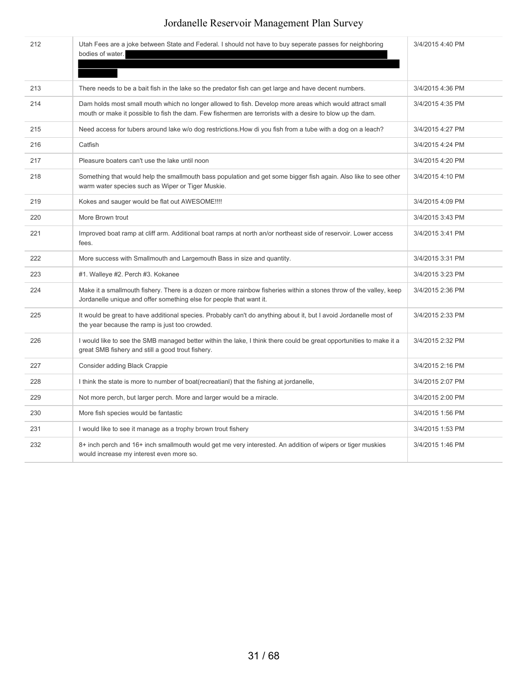| 212 | Utah Fees are a joke between State and Federal. I should not have to buy seperate passes for neighboring<br>bodies of water.                                                                                          | 3/4/2015 4:40 PM |
|-----|-----------------------------------------------------------------------------------------------------------------------------------------------------------------------------------------------------------------------|------------------|
| 213 | There needs to be a bait fish in the lake so the predator fish can get large and have decent numbers.                                                                                                                 | 3/4/2015 4:36 PM |
| 214 | Dam holds most small mouth which no longer allowed to fish. Develop more areas which would attract small<br>mouth or make it possible to fish the dam. Few fishermen are terrorists with a desire to blow up the dam. | 3/4/2015 4:35 PM |
| 215 | Need access for tubers around lake w/o dog restrictions. How di you fish from a tube with a dog on a leach?                                                                                                           | 3/4/2015 4:27 PM |
| 216 | Catfish                                                                                                                                                                                                               | 3/4/2015 4:24 PM |
| 217 | Pleasure boaters can't use the lake until noon                                                                                                                                                                        | 3/4/2015 4:20 PM |
| 218 | Something that would help the smallmouth bass population and get some bigger fish again. Also like to see other<br>warm water species such as Wiper or Tiger Muskie.                                                  | 3/4/2015 4:10 PM |
| 219 | Kokes and sauger would be flat out AWESOME !!!!                                                                                                                                                                       | 3/4/2015 4:09 PM |
| 220 | More Brown trout                                                                                                                                                                                                      | 3/4/2015 3:43 PM |
| 221 | Improved boat ramp at cliff arm. Additional boat ramps at north an/or northeast side of reservoir. Lower access<br>fees.                                                                                              | 3/4/2015 3:41 PM |
| 222 | More success with Smallmouth and Largemouth Bass in size and quantity.                                                                                                                                                | 3/4/2015 3:31 PM |
| 223 | #1. Walleye #2. Perch #3. Kokanee                                                                                                                                                                                     | 3/4/2015 3:23 PM |
| 224 | Make it a smallmouth fishery. There is a dozen or more rainbow fisheries within a stones throw of the valley, keep<br>Jordanelle unique and offer something else for people that want it.                             | 3/4/2015 2:36 PM |
| 225 | It would be great to have additional species. Probably can't do anything about it, but I avoid Jordanelle most of<br>the year because the ramp is just too crowded.                                                   | 3/4/2015 2:33 PM |
| 226 | I would like to see the SMB managed better within the lake, I think there could be great opportunities to make it a<br>great SMB fishery and still a good trout fishery.                                              | 3/4/2015 2:32 PM |
| 227 | <b>Consider adding Black Crappie</b>                                                                                                                                                                                  | 3/4/2015 2:16 PM |
| 228 | I think the state is more to number of boat (recreatian) that the fishing at jordanelle,                                                                                                                              | 3/4/2015 2:07 PM |
| 229 | Not more perch, but larger perch. More and larger would be a miracle.                                                                                                                                                 | 3/4/2015 2:00 PM |
| 230 | More fish species would be fantastic                                                                                                                                                                                  | 3/4/2015 1:56 PM |
| 231 | I would like to see it manage as a trophy brown trout fishery                                                                                                                                                         | 3/4/2015 1:53 PM |
| 232 | 8+ inch perch and 16+ inch smallmouth would get me very interested. An addition of wipers or tiger muskies<br>would increase my interest even more so.                                                                | 3/4/2015 1:46 PM |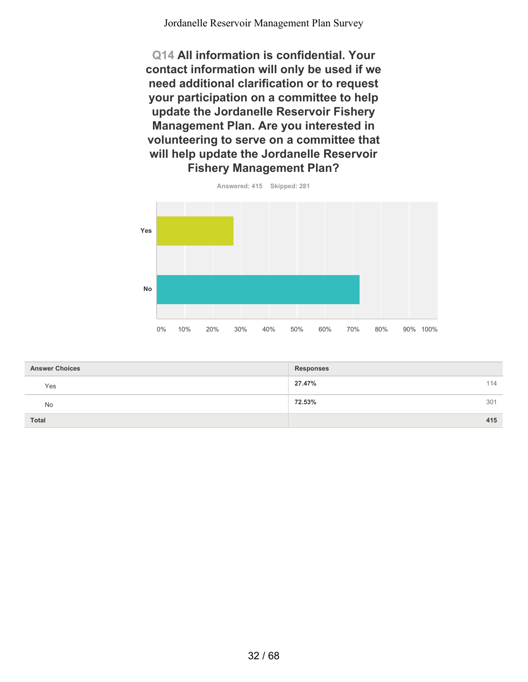**Q14 All information is confidential. Your contact information will only be used if we need additional clarification or to request your participation on a committee to help update the Jordanelle Reservoir Fishery Management Plan. Are you interested in volunteering to serve on a committee that will help update the Jordanelle Reservoir Fishery Management Plan?**



| <b>Answer Choices</b> | <b>Responses</b> |
|-----------------------|------------------|
| Yes                   | 27.47%<br>114    |
| No                    | 72.53%<br>301    |
| Total                 | 415              |

32 / 68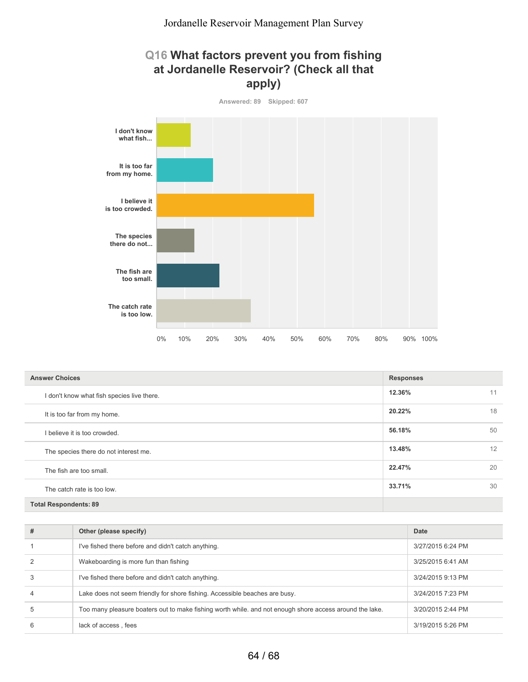#### **Q16 What factors prevent you from fishing at Jordanelle Reservoir? (Check all that apply)**



| <b>Answer Choices</b>                      | <b>Responses</b> |    |
|--------------------------------------------|------------------|----|
| I don't know what fish species live there. | 12.36%           | 11 |
| It is too far from my home.                | 20.22%           | 18 |
| I believe it is too crowded.               | 56.18%           | 50 |
| The species there do not interest me.      | 13.48%           | 12 |
| The fish are too small.                    | 22.47%           | 20 |
| The catch rate is too low.                 | 33.71%           | 30 |
| <b>Total Respondents: 89</b>               |                  |    |

| # | Other (please specify)                                                                                  | Date              |
|---|---------------------------------------------------------------------------------------------------------|-------------------|
|   | I've fished there before and didn't catch anything.                                                     | 3/27/2015 6:24 PM |
|   | Wakeboarding is more fun than fishing                                                                   | 3/25/2015 6:41 AM |
| 3 | I've fished there before and didn't catch anything.                                                     | 3/24/2015 9:13 PM |
| 4 | Lake does not seem friendly for shore fishing. Accessible beaches are busy.                             | 3/24/2015 7:23 PM |
| 5 | Too many pleasure boaters out to make fishing worth while, and not enough shore access around the lake. | 3/20/2015 2:44 PM |
| 6 | lack of access, fees                                                                                    | 3/19/2015 5:26 PM |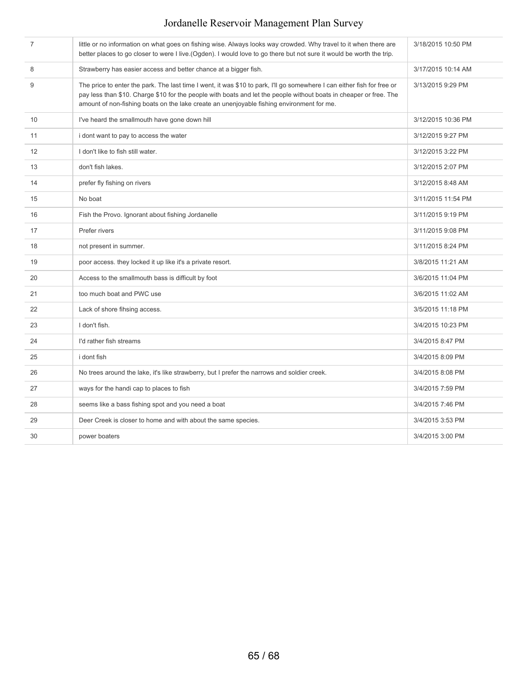| $\overline{7}$ | little or no information on what goes on fishing wise. Always looks way crowded. Why travel to it when there are<br>better places to go closer to were I live.(Ogden). I would love to go there but not sure it would be worth the trip.                                                                                                   | 3/18/2015 10:50 PM |
|----------------|--------------------------------------------------------------------------------------------------------------------------------------------------------------------------------------------------------------------------------------------------------------------------------------------------------------------------------------------|--------------------|
| 8              | Strawberry has easier access and better chance at a bigger fish.                                                                                                                                                                                                                                                                           | 3/17/2015 10:14 AM |
| 9              | The price to enter the park. The last time I went, it was \$10 to park, I'll go somewhere I can either fish for free or<br>pay less than \$10. Charge \$10 for the people with boats and let the people without boats in cheaper or free. The<br>amount of non-fishing boats on the lake create an unenjoyable fishing environment for me. | 3/13/2015 9:29 PM  |
| 10             | I've heard the smallmouth have gone down hill                                                                                                                                                                                                                                                                                              | 3/12/2015 10:36 PM |
| 11             | i dont want to pay to access the water                                                                                                                                                                                                                                                                                                     | 3/12/2015 9:27 PM  |
| 12             | I don't like to fish still water.                                                                                                                                                                                                                                                                                                          | 3/12/2015 3:22 PM  |
| 13             | don't fish lakes.                                                                                                                                                                                                                                                                                                                          | 3/12/2015 2:07 PM  |
| 14             | prefer fly fishing on rivers                                                                                                                                                                                                                                                                                                               | 3/12/2015 8:48 AM  |
| 15             | No boat                                                                                                                                                                                                                                                                                                                                    | 3/11/2015 11:54 PM |
| 16             | Fish the Provo. Ignorant about fishing Jordanelle                                                                                                                                                                                                                                                                                          | 3/11/2015 9:19 PM  |
| 17             | Prefer rivers                                                                                                                                                                                                                                                                                                                              | 3/11/2015 9:08 PM  |
| 18             | not present in summer.                                                                                                                                                                                                                                                                                                                     | 3/11/2015 8:24 PM  |
| 19             | poor access. they locked it up like it's a private resort.                                                                                                                                                                                                                                                                                 | 3/8/2015 11:21 AM  |
| 20             | Access to the smallmouth bass is difficult by foot                                                                                                                                                                                                                                                                                         | 3/6/2015 11:04 PM  |
| 21             | too much boat and PWC use                                                                                                                                                                                                                                                                                                                  | 3/6/2015 11:02 AM  |
| 22             | Lack of shore fihsing access.                                                                                                                                                                                                                                                                                                              | 3/5/2015 11:18 PM  |
| 23             | I don't fish.                                                                                                                                                                                                                                                                                                                              | 3/4/2015 10:23 PM  |
| 24             | I'd rather fish streams                                                                                                                                                                                                                                                                                                                    | 3/4/2015 8:47 PM   |
| 25             | i dont fish                                                                                                                                                                                                                                                                                                                                | 3/4/2015 8:09 PM   |
| 26             | No trees around the lake, it's like strawberry, but I prefer the narrows and soldier creek.                                                                                                                                                                                                                                                | 3/4/2015 8:08 PM   |
| 27             | ways for the handi cap to places to fish                                                                                                                                                                                                                                                                                                   | 3/4/2015 7:59 PM   |
| 28             | seems like a bass fishing spot and you need a boat                                                                                                                                                                                                                                                                                         | 3/4/2015 7:46 PM   |
| 29             | Deer Creek is closer to home and with about the same species.                                                                                                                                                                                                                                                                              | 3/4/2015 3:53 PM   |
| 30             | power boaters                                                                                                                                                                                                                                                                                                                              | 3/4/2015 3:00 PM   |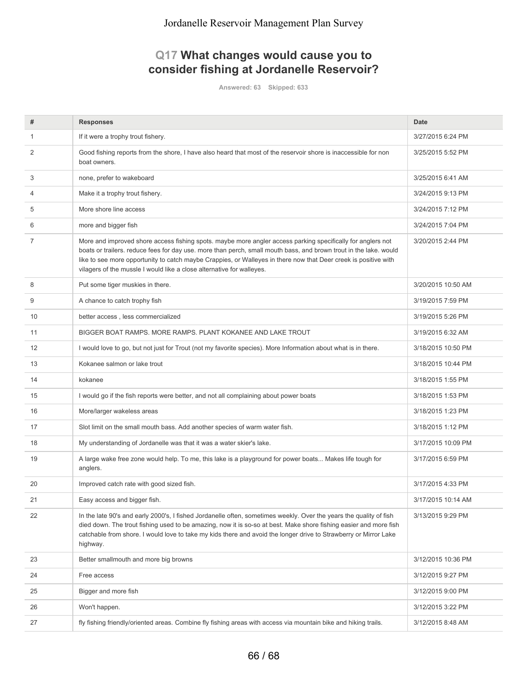### **Q17 What changes would cause you to consider fishing at Jordanelle Reservoir?**

**Answered: 63 Skipped: 633**

| #  | <b>Responses</b>                                                                                                                                                                                                                                                                                                                                                                                                             | <b>Date</b>        |
|----|------------------------------------------------------------------------------------------------------------------------------------------------------------------------------------------------------------------------------------------------------------------------------------------------------------------------------------------------------------------------------------------------------------------------------|--------------------|
| 1  | If it were a trophy trout fishery.                                                                                                                                                                                                                                                                                                                                                                                           | 3/27/2015 6:24 PM  |
| 2  | Good fishing reports from the shore, I have also heard that most of the reservoir shore is inaccessible for non<br>boat owners.                                                                                                                                                                                                                                                                                              | 3/25/2015 5:52 PM  |
| 3  | none, prefer to wakeboard                                                                                                                                                                                                                                                                                                                                                                                                    | 3/25/2015 6:41 AM  |
| 4  | Make it a trophy trout fishery.                                                                                                                                                                                                                                                                                                                                                                                              | 3/24/2015 9:13 PM  |
| 5  | More shore line access                                                                                                                                                                                                                                                                                                                                                                                                       | 3/24/2015 7:12 PM  |
| 6  | more and bigger fish                                                                                                                                                                                                                                                                                                                                                                                                         | 3/24/2015 7:04 PM  |
| 7  | More and improved shore access fishing spots. maybe more angler access parking specifically for anglers not<br>boats or trailers. reduce fees for day use. more than perch, small mouth bass, and brown trout in the lake. would<br>like to see more opportunity to catch maybe Crappies, or Walleyes in there now that Deer creek is positive with<br>vilagers of the mussle I would like a close alternative for walleyes. | 3/20/2015 2:44 PM  |
| 8  | Put some tiger muskies in there.                                                                                                                                                                                                                                                                                                                                                                                             | 3/20/2015 10:50 AM |
| 9  | A chance to catch trophy fish                                                                                                                                                                                                                                                                                                                                                                                                | 3/19/2015 7:59 PM  |
| 10 | better access, less commercialized                                                                                                                                                                                                                                                                                                                                                                                           | 3/19/2015 5:26 PM  |
| 11 | BIGGER BOAT RAMPS, MORE RAMPS, PLANT KOKANEE AND LAKE TROUT                                                                                                                                                                                                                                                                                                                                                                  | 3/19/2015 6:32 AM  |
| 12 | I would love to go, but not just for Trout (not my favorite species). More Information about what is in there.                                                                                                                                                                                                                                                                                                               | 3/18/2015 10:50 PM |
| 13 | Kokanee salmon or lake trout                                                                                                                                                                                                                                                                                                                                                                                                 | 3/18/2015 10:44 PM |
| 14 | kokanee                                                                                                                                                                                                                                                                                                                                                                                                                      | 3/18/2015 1:55 PM  |
| 15 | I would go if the fish reports were better, and not all complaining about power boats                                                                                                                                                                                                                                                                                                                                        | 3/18/2015 1:53 PM  |
| 16 | More/larger wakeless areas                                                                                                                                                                                                                                                                                                                                                                                                   | 3/18/2015 1:23 PM  |
| 17 | Slot limit on the small mouth bass. Add another species of warm water fish.                                                                                                                                                                                                                                                                                                                                                  | 3/18/2015 1:12 PM  |
| 18 | My understanding of Jordanelle was that it was a water skier's lake.                                                                                                                                                                                                                                                                                                                                                         | 3/17/2015 10:09 PM |
| 19 | A large wake free zone would help. To me, this lake is a playground for power boats Makes life tough for<br>anglers.                                                                                                                                                                                                                                                                                                         | 3/17/2015 6:59 PM  |
| 20 | Improved catch rate with good sized fish.                                                                                                                                                                                                                                                                                                                                                                                    | 3/17/2015 4:33 PM  |
| 21 | Easy access and bigger fish.                                                                                                                                                                                                                                                                                                                                                                                                 | 3/17/2015 10:14 AM |
| 22 | In the late 90's and early 2000's, I fished Jordanelle often, sometimes weekly. Over the years the quality of fish<br>died down. The trout fishing used to be amazing, now it is so-so at best. Make shore fishing easier and more fish<br>catchable from shore. I would love to take my kids there and avoid the longer drive to Strawberry or Mirror Lake<br>highway.                                                      | 3/13/2015 9:29 PM  |
| 23 | Better smallmouth and more big browns                                                                                                                                                                                                                                                                                                                                                                                        | 3/12/2015 10:36 PM |
| 24 | Free access                                                                                                                                                                                                                                                                                                                                                                                                                  | 3/12/2015 9:27 PM  |
| 25 | Bigger and more fish                                                                                                                                                                                                                                                                                                                                                                                                         | 3/12/2015 9:00 PM  |
| 26 | Won't happen.                                                                                                                                                                                                                                                                                                                                                                                                                | 3/12/2015 3:22 PM  |
| 27 | fly fishing friendly/oriented areas. Combine fly fishing areas with access via mountain bike and hiking trails.                                                                                                                                                                                                                                                                                                              | 3/12/2015 8:48 AM  |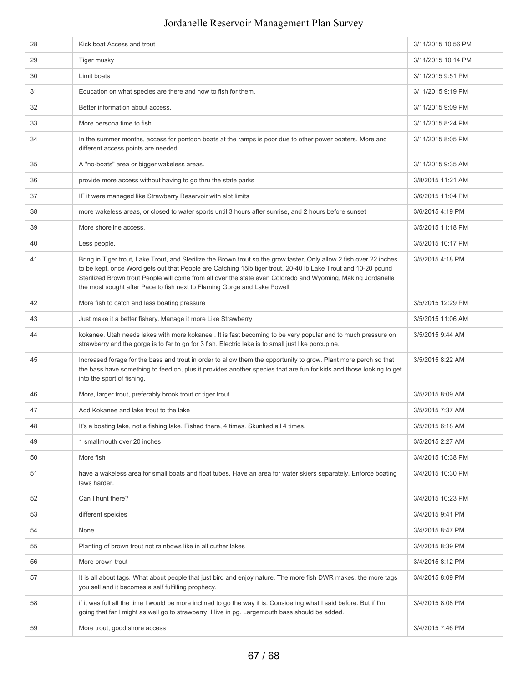| 28 | Kick boat Access and trout                                                                                                                                                                                                                                                                                                                                                                                                        | 3/11/2015 10:56 PM |
|----|-----------------------------------------------------------------------------------------------------------------------------------------------------------------------------------------------------------------------------------------------------------------------------------------------------------------------------------------------------------------------------------------------------------------------------------|--------------------|
| 29 | Tiger musky                                                                                                                                                                                                                                                                                                                                                                                                                       | 3/11/2015 10:14 PM |
| 30 | Limit boats                                                                                                                                                                                                                                                                                                                                                                                                                       | 3/11/2015 9:51 PM  |
| 31 | Education on what species are there and how to fish for them.                                                                                                                                                                                                                                                                                                                                                                     | 3/11/2015 9:19 PM  |
| 32 | Better information about access.                                                                                                                                                                                                                                                                                                                                                                                                  | 3/11/2015 9:09 PM  |
| 33 | More persona time to fish                                                                                                                                                                                                                                                                                                                                                                                                         | 3/11/2015 8:24 PM  |
| 34 | In the summer months, access for pontoon boats at the ramps is poor due to other power boaters. More and<br>different access points are needed.                                                                                                                                                                                                                                                                                   | 3/11/2015 8:05 PM  |
| 35 | A "no-boats" area or bigger wakeless areas.                                                                                                                                                                                                                                                                                                                                                                                       | 3/11/2015 9:35 AM  |
| 36 | provide more access without having to go thru the state parks                                                                                                                                                                                                                                                                                                                                                                     | 3/8/2015 11:21 AM  |
| 37 | IF it were managed like Strawberry Reservoir with slot limits                                                                                                                                                                                                                                                                                                                                                                     | 3/6/2015 11:04 PM  |
| 38 | more wakeless areas, or closed to water sports until 3 hours after sunrise, and 2 hours before sunset                                                                                                                                                                                                                                                                                                                             | 3/6/2015 4:19 PM   |
| 39 | More shoreline access.                                                                                                                                                                                                                                                                                                                                                                                                            | 3/5/2015 11:18 PM  |
| 40 | Less people.                                                                                                                                                                                                                                                                                                                                                                                                                      | 3/5/2015 10:17 PM  |
| 41 | Bring in Tiger trout, Lake Trout, and Sterilize the Brown trout so the grow faster, Only allow 2 fish over 22 inches<br>to be kept. once Word gets out that People are Catching 15lb tiger trout, 20-40 lb Lake Trout and 10-20 pound<br>Sterilized Brown trout People will come from all over the state even Colorado and Wyoming, Making Jordanelle<br>the most sought after Pace to fish next to Flaming Gorge and Lake Powell | 3/5/2015 4:18 PM   |
| 42 | More fish to catch and less boating pressure                                                                                                                                                                                                                                                                                                                                                                                      | 3/5/2015 12:29 PM  |
| 43 | Just make it a better fishery. Manage it more Like Strawberry                                                                                                                                                                                                                                                                                                                                                                     | 3/5/2015 11:06 AM  |
| 44 | kokanee. Utah needs lakes with more kokanee . It is fast becoming to be very popular and to much pressure on<br>strawberry and the gorge is to far to go for 3 fish. Electric lake is to small just like porcupine.                                                                                                                                                                                                               | 3/5/2015 9:44 AM   |
| 45 | Increased forage for the bass and trout in order to allow them the opportunity to grow. Plant more perch so that<br>the bass have something to feed on, plus it provides another species that are fun for kids and those looking to get<br>into the sport of fishing.                                                                                                                                                             | 3/5/2015 8:22 AM   |
| 46 | More, larger trout, preferably brook trout or tiger trout.                                                                                                                                                                                                                                                                                                                                                                        | 3/5/2015 8:09 AM   |
| 47 | Add Kokanee and lake trout to the lake                                                                                                                                                                                                                                                                                                                                                                                            | 3/5/2015 7:37 AM   |
| 48 | It's a boating lake, not a fishing lake. Fished there, 4 times. Skunked all 4 times.                                                                                                                                                                                                                                                                                                                                              | 3/5/2015 6:18 AM   |
| 49 | 1 smallmouth over 20 inches                                                                                                                                                                                                                                                                                                                                                                                                       | 3/5/2015 2:27 AM   |
| 50 | More fish                                                                                                                                                                                                                                                                                                                                                                                                                         | 3/4/2015 10:38 PM  |
| 51 | have a wakeless area for small boats and float tubes. Have an area for water skiers separately. Enforce boating<br>laws harder.                                                                                                                                                                                                                                                                                                   | 3/4/2015 10:30 PM  |
| 52 | Can I hunt there?                                                                                                                                                                                                                                                                                                                                                                                                                 | 3/4/2015 10:23 PM  |
| 53 | different speicies                                                                                                                                                                                                                                                                                                                                                                                                                | 3/4/2015 9:41 PM   |
| 54 | None                                                                                                                                                                                                                                                                                                                                                                                                                              | 3/4/2015 8:47 PM   |
| 55 | Planting of brown trout not rainbows like in all outher lakes                                                                                                                                                                                                                                                                                                                                                                     | 3/4/2015 8:39 PM   |
| 56 | More brown trout                                                                                                                                                                                                                                                                                                                                                                                                                  | 3/4/2015 8:12 PM   |
| 57 | It is all about tags. What about people that just bird and enjoy nature. The more fish DWR makes, the more tags<br>you sell and it becomes a self fulfilling prophecy.                                                                                                                                                                                                                                                            | 3/4/2015 8:09 PM   |
| 58 | if it was full all the time I would be more inclined to go the way it is. Considering what I said before. But if I'm<br>going that far I might as well go to strawberry. I live in pg. Largemouth bass should be added.                                                                                                                                                                                                           | 3/4/2015 8:08 PM   |
| 59 | More trout, good shore access                                                                                                                                                                                                                                                                                                                                                                                                     | 3/4/2015 7:46 PM   |